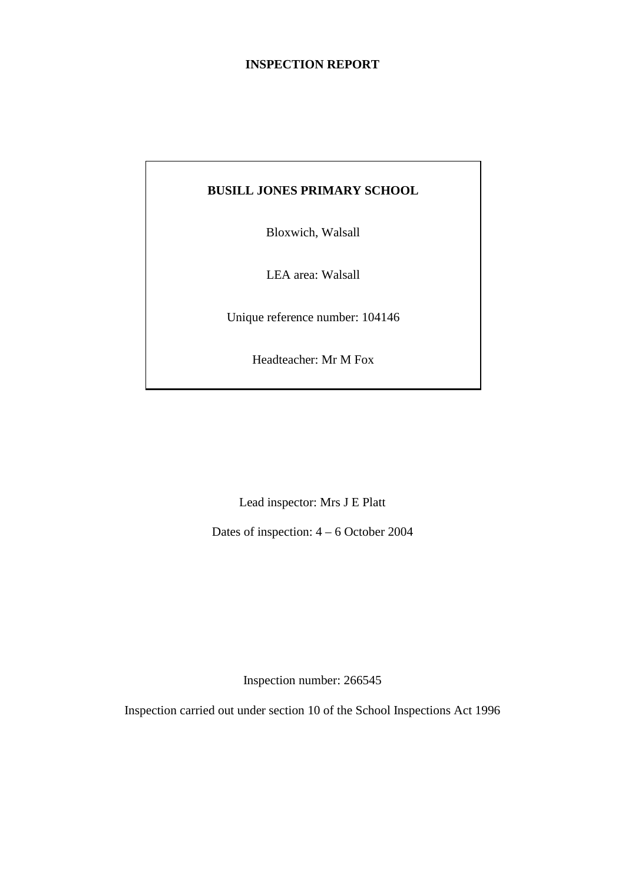## **INSPECTION REPORT**

## **BUSILL JONES PRIMARY SCHOOL**

Bloxwich, Walsall

LEA area: Walsall

Unique reference number: 104146

Headteacher: Mr M Fox

Lead inspector: Mrs J E Platt

Dates of inspection: 4 – 6 October 2004

Inspection number: 266545

Inspection carried out under section 10 of the School Inspections Act 1996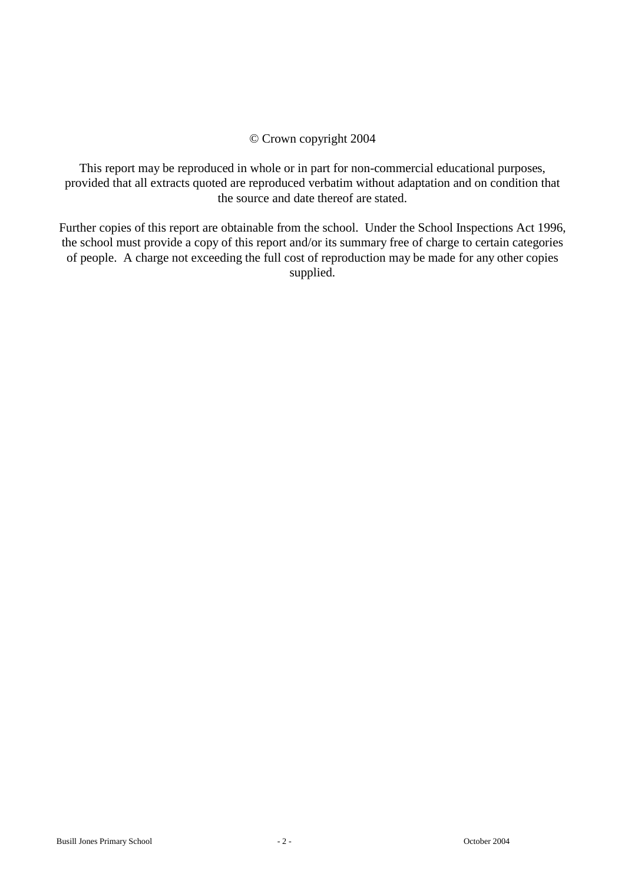#### © Crown copyright 2004

This report may be reproduced in whole or in part for non-commercial educational purposes, provided that all extracts quoted are reproduced verbatim without adaptation and on condition that the source and date thereof are stated.

Further copies of this report are obtainable from the school. Under the School Inspections Act 1996, the school must provide a copy of this report and/or its summary free of charge to certain categories of people. A charge not exceeding the full cost of reproduction may be made for any other copies supplied.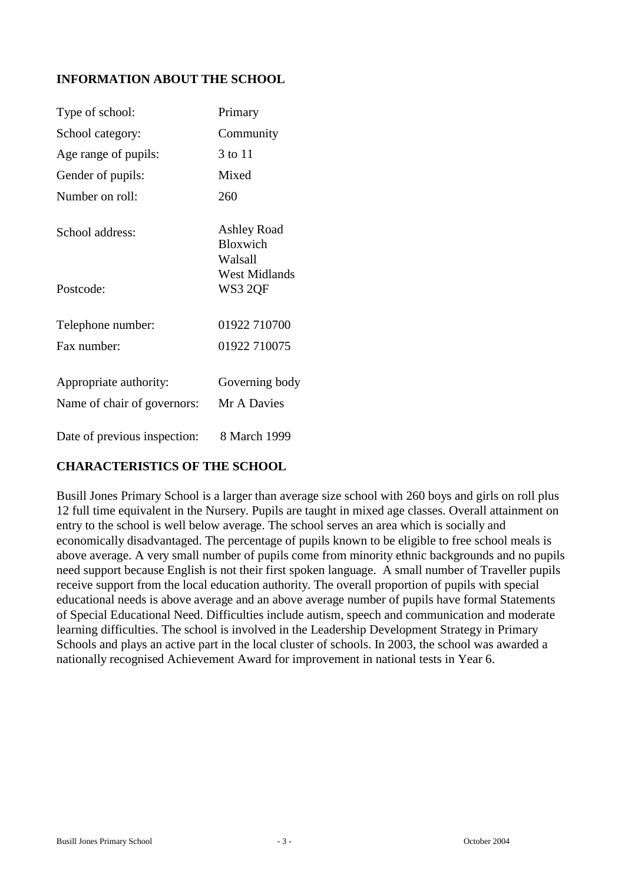## **INFORMATION ABOUT THE SCHOOL**

| Type of school:                                       | Primary                                   |
|-------------------------------------------------------|-------------------------------------------|
| School category:                                      | Community                                 |
| Age range of pupils:                                  | 3 to 11                                   |
| Gender of pupils:                                     | Mixed                                     |
| Number on roll:                                       | 260                                       |
| School address:                                       | Ashley Road<br><b>Bloxwich</b><br>Walsall |
| Postcode:                                             | <b>West Midlands</b><br>WS3 2QF           |
| Telephone number:                                     | 01922 710700                              |
| Fax number:                                           | 01922 710075                              |
| Appropriate authority:<br>Name of chair of governors: | Governing body<br>Mr A Davies             |
| Date of previous inspection:                          | 8 March 1999                              |

## **CHARACTERISTICS OF THE SCHOOL**

Busill Jones Primary School is a larger than average size school with 260 boys and girls on roll plus 12 full time equivalent in the Nursery. Pupils are taught in mixed age classes. Overall attainment on entry to the school is well below average. The school serves an area which is socially and economically disadvantaged. The percentage of pupils known to be eligible to free school meals is above average. A very small number of pupils come from minority ethnic backgrounds and no pupils need support because English is not their first spoken language. A small number of Traveller pupils receive support from the local education authority. The overall proportion of pupils with special educational needs is above average and an above average number of pupils have formal Statements of Special Educational Need. Difficulties include autism, speech and communication and moderate learning difficulties. The school is involved in the Leadership Development Strategy in Primary Schools and plays an active part in the local cluster of schools. In 2003, the school was awarded a nationally recognised Achievement Award for improvement in national tests in Year 6.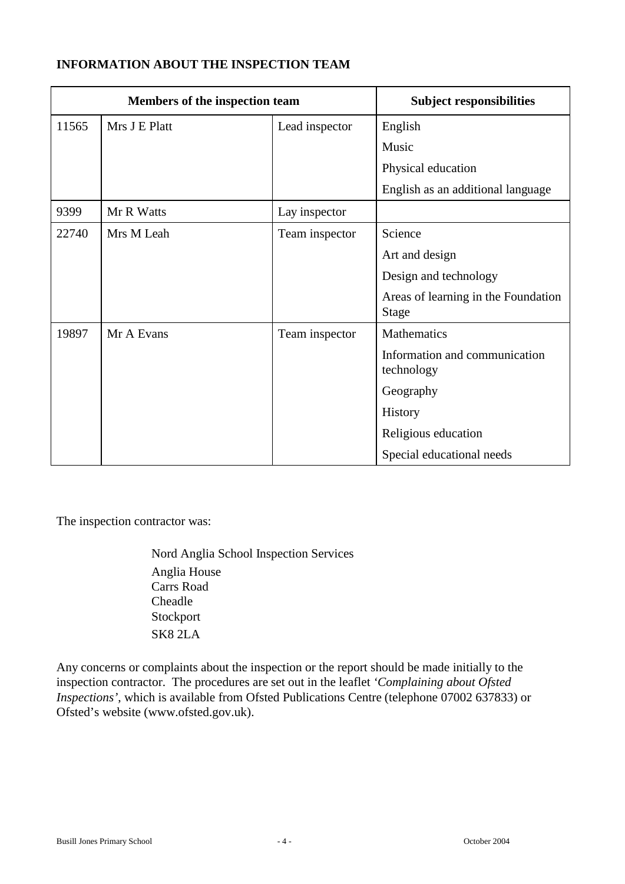## **INFORMATION ABOUT THE INSPECTION TEAM**

| Members of the inspection team |               | <b>Subject responsibilities</b> |                                                     |
|--------------------------------|---------------|---------------------------------|-----------------------------------------------------|
| 11565                          | Mrs J E Platt | Lead inspector                  | English                                             |
|                                |               |                                 | Music                                               |
|                                |               |                                 | Physical education                                  |
|                                |               |                                 | English as an additional language                   |
| 9399                           | Mr R Watts    | Lay inspector                   |                                                     |
| 22740                          | Mrs M Leah    | Team inspector                  | Science                                             |
|                                |               |                                 | Art and design                                      |
|                                |               |                                 | Design and technology                               |
|                                |               |                                 | Areas of learning in the Foundation<br><b>Stage</b> |
| 19897                          | Mr A Evans    | Team inspector                  | <b>Mathematics</b>                                  |
|                                |               |                                 | Information and communication<br>technology         |
|                                |               |                                 | Geography                                           |
|                                |               |                                 | History                                             |
|                                |               |                                 | Religious education                                 |
|                                |               |                                 | Special educational needs                           |

The inspection contractor was:

Nord Anglia School Inspection Services Anglia House Carrs Road Cheadle Stockport SK8 2LA

Any concerns or complaints about the inspection or the report should be made initially to the inspection contractor. The procedures are set out in the leaflet *'Complaining about Ofsted Inspections'*, which is available from Ofsted Publications Centre (telephone 07002 637833) or Ofsted's website (www.ofsted.gov.uk).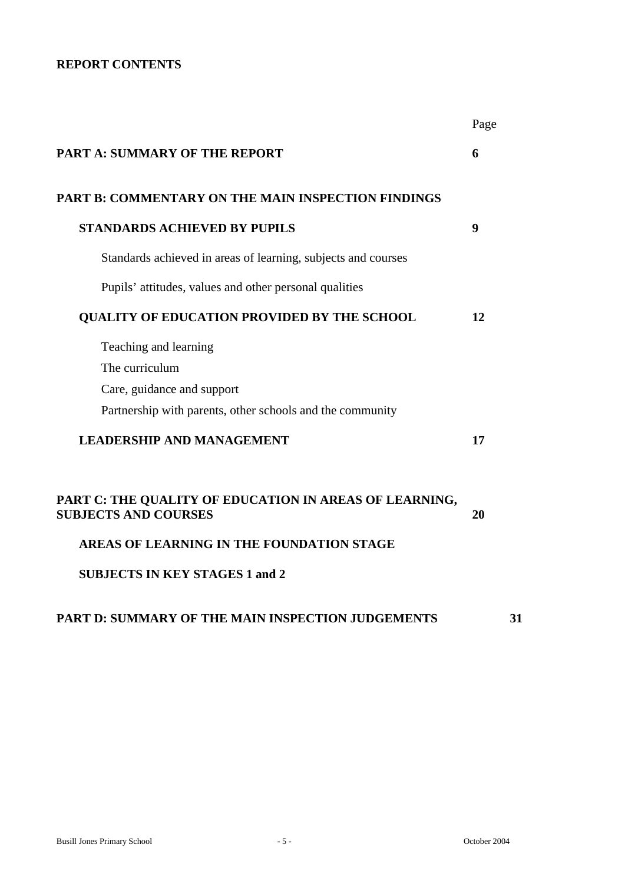## **REPORT CONTENTS**

|                                                                                       | Page |
|---------------------------------------------------------------------------------------|------|
| <b>PART A: SUMMARY OF THE REPORT</b>                                                  | 6    |
| PART B: COMMENTARY ON THE MAIN INSPECTION FINDINGS                                    |      |
| <b>STANDARDS ACHIEVED BY PUPILS</b>                                                   | 9    |
| Standards achieved in areas of learning, subjects and courses                         |      |
| Pupils' attitudes, values and other personal qualities                                |      |
| <b>QUALITY OF EDUCATION PROVIDED BY THE SCHOOL</b>                                    | 12   |
| Teaching and learning                                                                 |      |
| The curriculum                                                                        |      |
| Care, guidance and support                                                            |      |
| Partnership with parents, other schools and the community                             |      |
| <b>LEADERSHIP AND MANAGEMENT</b>                                                      | 17   |
| PART C: THE QUALITY OF EDUCATION IN AREAS OF LEARNING,<br><b>SUBJECTS AND COURSES</b> | 20   |
| AREAS OF LEARNING IN THE FOUNDATION STAGE                                             |      |
| <b>SUBJECTS IN KEY STAGES 1 and 2</b>                                                 |      |
| <b>PART D: SUMMARY OF THE MAIN INSPECTION JUDGEMENTS</b>                              | 31   |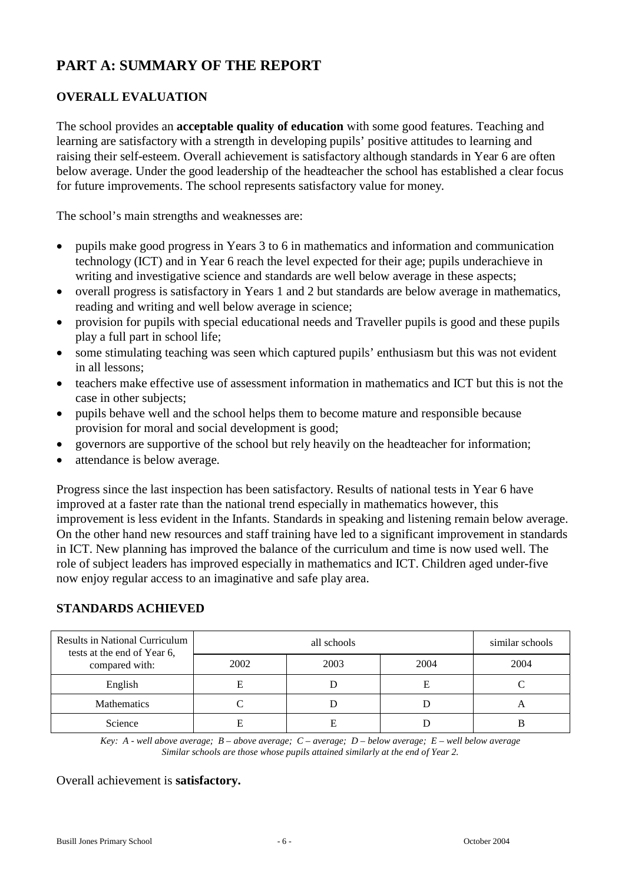# **PART A: SUMMARY OF THE REPORT**

## **OVERALL EVALUATION**

The school provides an **acceptable quality of education** with some good features. Teaching and learning are satisfactory with a strength in developing pupils' positive attitudes to learning and raising their self-esteem. Overall achievement is satisfactory although standards in Year 6 are often below average. Under the good leadership of the headteacher the school has established a clear focus for future improvements. The school represents satisfactory value for money.

The school's main strengths and weaknesses are:

- pupils make good progress in Years 3 to 6 in mathematics and information and communication technology (ICT) and in Year 6 reach the level expected for their age; pupils underachieve in writing and investigative science and standards are well below average in these aspects;
- overall progress is satisfactory in Years 1 and 2 but standards are below average in mathematics, reading and writing and well below average in science;
- provision for pupils with special educational needs and Traveller pupils is good and these pupils play a full part in school life;
- some stimulating teaching was seen which captured pupils' enthusiasm but this was not evident in all lessons;
- teachers make effective use of assessment information in mathematics and ICT but this is not the case in other subjects;
- pupils behave well and the school helps them to become mature and responsible because provision for moral and social development is good;
- governors are supportive of the school but rely heavily on the headteacher for information;
- attendance is below average.

Progress since the last inspection has been satisfactory. Results of national tests in Year 6 have improved at a faster rate than the national trend especially in mathematics however, this improvement is less evident in the Infants. Standards in speaking and listening remain below average. On the other hand new resources and staff training have led to a significant improvement in standards in ICT. New planning has improved the balance of the curriculum and time is now used well. The role of subject leaders has improved especially in mathematics and ICT. Children aged under-five now enjoy regular access to an imaginative and safe play area.

#### **STANDARDS ACHIEVED**

| <b>Results in National Curriculum</b><br>tests at the end of Year 6, |      | similar schools |      |      |
|----------------------------------------------------------------------|------|-----------------|------|------|
| compared with:                                                       | 2002 | 2003            | 2004 | 2004 |
| English                                                              |      |                 | Е    |      |
| <b>Mathematics</b>                                                   |      |                 |      |      |
| Science                                                              |      |                 |      |      |

*Key: A - well above average; B – above average; C – average; D – below average; E – well below average Similar schools are those whose pupils attained similarly at the end of Year 2.*

#### Overall achievement is **satisfactory.**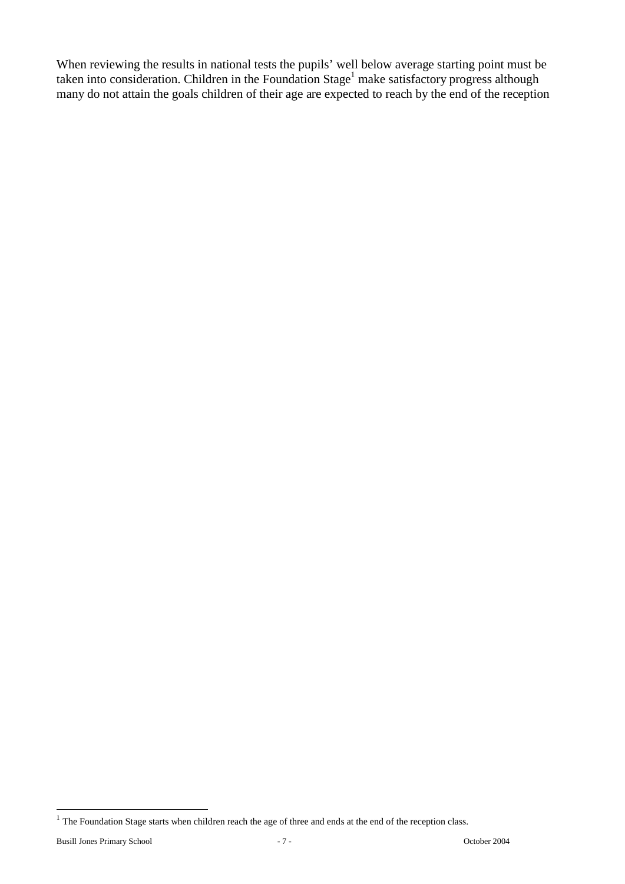When reviewing the results in national tests the pupils' well below average starting point must be taken into consideration. Children in the Foundation Stage<sup>1</sup> make satisfactory progress although many do not attain the goals children of their age are expected to reach by the end of the reception

 $\overline{a}$ 

 $<sup>1</sup>$  The Foundation Stage starts when children reach the age of three and ends at the end of the reception class.</sup>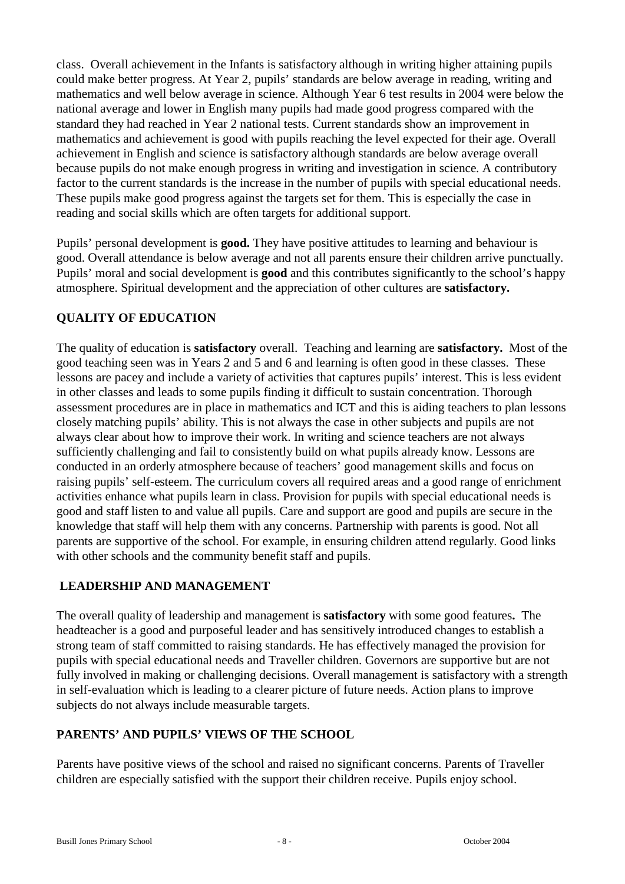class. Overall achievement in the Infants is satisfactory although in writing higher attaining pupils could make better progress. At Year 2, pupils' standards are below average in reading, writing and mathematics and well below average in science. Although Year 6 test results in 2004 were below the national average and lower in English many pupils had made good progress compared with the standard they had reached in Year 2 national tests. Current standards show an improvement in mathematics and achievement is good with pupils reaching the level expected for their age. Overall achievement in English and science is satisfactory although standards are below average overall because pupils do not make enough progress in writing and investigation in science. A contributory factor to the current standards is the increase in the number of pupils with special educational needs. These pupils make good progress against the targets set for them. This is especially the case in reading and social skills which are often targets for additional support.

Pupils' personal development is **good.** They have positive attitudes to learning and behaviour is good. Overall attendance is below average and not all parents ensure their children arrive punctually. Pupils' moral and social development is **good** and this contributes significantly to the school's happy atmosphere. Spiritual development and the appreciation of other cultures are **satisfactory.** 

## **QUALITY OF EDUCATION**

The quality of education is **satisfactory** overall. Teaching and learning are **satisfactory.** Most of the good teaching seen was in Years 2 and 5 and 6 and learning is often good in these classes. These lessons are pacey and include a variety of activities that captures pupils' interest. This is less evident in other classes and leads to some pupils finding it difficult to sustain concentration. Thorough assessment procedures are in place in mathematics and ICT and this is aiding teachers to plan lessons closely matching pupils' ability. This is not always the case in other subjects and pupils are not always clear about how to improve their work. In writing and science teachers are not always sufficiently challenging and fail to consistently build on what pupils already know. Lessons are conducted in an orderly atmosphere because of teachers' good management skills and focus on raising pupils' self-esteem. The curriculum covers all required areas and a good range of enrichment activities enhance what pupils learn in class. Provision for pupils with special educational needs is good and staff listen to and value all pupils. Care and support are good and pupils are secure in the knowledge that staff will help them with any concerns. Partnership with parents is good. Not all parents are supportive of the school. For example, in ensuring children attend regularly. Good links with other schools and the community benefit staff and pupils.

## **LEADERSHIP AND MANAGEMENT**

The overall quality of leadership and management is **satisfactory** with some good features**.** The headteacher is a good and purposeful leader and has sensitively introduced changes to establish a strong team of staff committed to raising standards. He has effectively managed the provision for pupils with special educational needs and Traveller children. Governors are supportive but are not fully involved in making or challenging decisions. Overall management is satisfactory with a strength in self-evaluation which is leading to a clearer picture of future needs. Action plans to improve subjects do not always include measurable targets.

## **PARENTS' AND PUPILS' VIEWS OF THE SCHOOL**

Parents have positive views of the school and raised no significant concerns. Parents of Traveller children are especially satisfied with the support their children receive. Pupils enjoy school.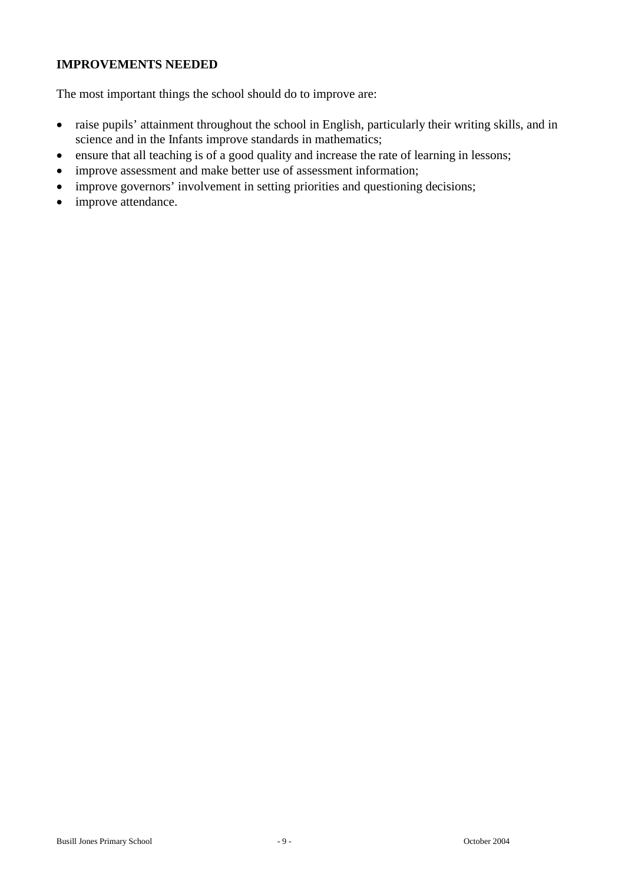## **IMPROVEMENTS NEEDED**

The most important things the school should do to improve are:

- raise pupils' attainment throughout the school in English, particularly their writing skills, and in science and in the Infants improve standards in mathematics;
- ensure that all teaching is of a good quality and increase the rate of learning in lessons;
- improve assessment and make better use of assessment information;
- improve governors' involvement in setting priorities and questioning decisions;
- improve attendance.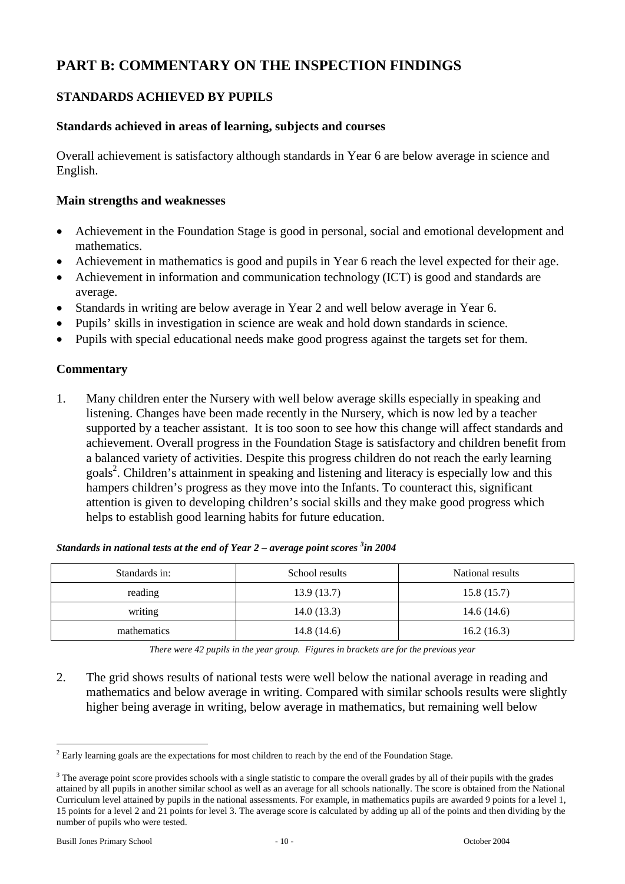# **PART B: COMMENTARY ON THE INSPECTION FINDINGS**

## **STANDARDS ACHIEVED BY PUPILS**

#### **Standards achieved in areas of learning, subjects and courses**

Overall achievement is satisfactory although standards in Year 6 are below average in science and English.

#### **Main strengths and weaknesses**

- Achievement in the Foundation Stage is good in personal, social and emotional development and mathematics.
- Achievement in mathematics is good and pupils in Year 6 reach the level expected for their age.
- Achievement in information and communication technology (ICT) is good and standards are average.
- Standards in writing are below average in Year 2 and well below average in Year 6.
- Pupils' skills in investigation in science are weak and hold down standards in science.
- Pupils with special educational needs make good progress against the targets set for them.

#### **Commentary**

1. Many children enter the Nursery with well below average skills especially in speaking and listening. Changes have been made recently in the Nursery, which is now led by a teacher supported by a teacher assistant. It is too soon to see how this change will affect standards and achievement. Overall progress in the Foundation Stage is satisfactory and children benefit from a balanced variety of activities. Despite this progress children do not reach the early learning goals<sup>2</sup>. Children's attainment in speaking and listening and literacy is especially low and this hampers children's progress as they move into the Infants. To counteract this, significant attention is given to developing children's social skills and they make good progress which helps to establish good learning habits for future education.

| Standards in: | School results | National results |
|---------------|----------------|------------------|
| reading       | 13.9(13.7)     | 15.8(15.7)       |
| writing       | 14.0(13.3)     | 14.6 $(14.6)$    |
| mathematics   | 14.8(14.6)     | 16.2(16.3)       |

| Standards in national tests at the end of Year $2$ – average point scores $3$ in 2004 |  |  |  |
|---------------------------------------------------------------------------------------|--|--|--|
|---------------------------------------------------------------------------------------|--|--|--|

*There were 42 pupils in the year group. Figures in brackets are for the previous year* 

2. The grid shows results of national tests were well below the national average in reading and mathematics and below average in writing. Compared with similar schools results were slightly higher being average in writing, below average in mathematics, but remaining well below

 $\overline{a}$  $<sup>2</sup>$  Early learning goals are the expectations for most children to reach by the end of the Foundation Stage.</sup>

<sup>&</sup>lt;sup>3</sup> The average point score provides schools with a single statistic to compare the overall grades by all of their pupils with the grades attained by all pupils in another similar school as well as an average for all schools nationally. The score is obtained from the National Curriculum level attained by pupils in the national assessments. For example, in mathematics pupils are awarded 9 points for a level 1, 15 points for a level 2 and 21 points for level 3. The average score is calculated by adding up all of the points and then dividing by the number of pupils who were tested.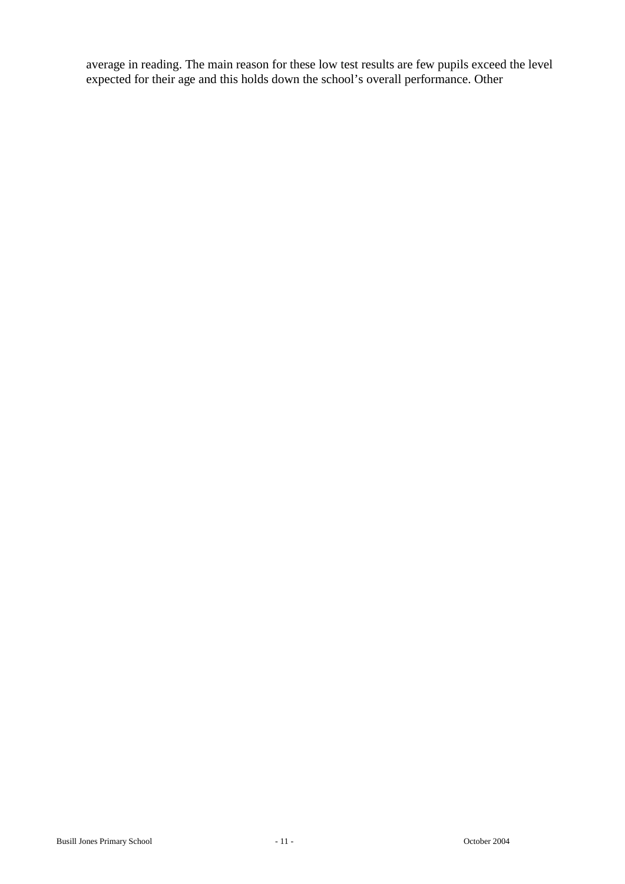average in reading. The main reason for these low test results are few pupils exceed the level expected for their age and this holds down the school's overall performance. Other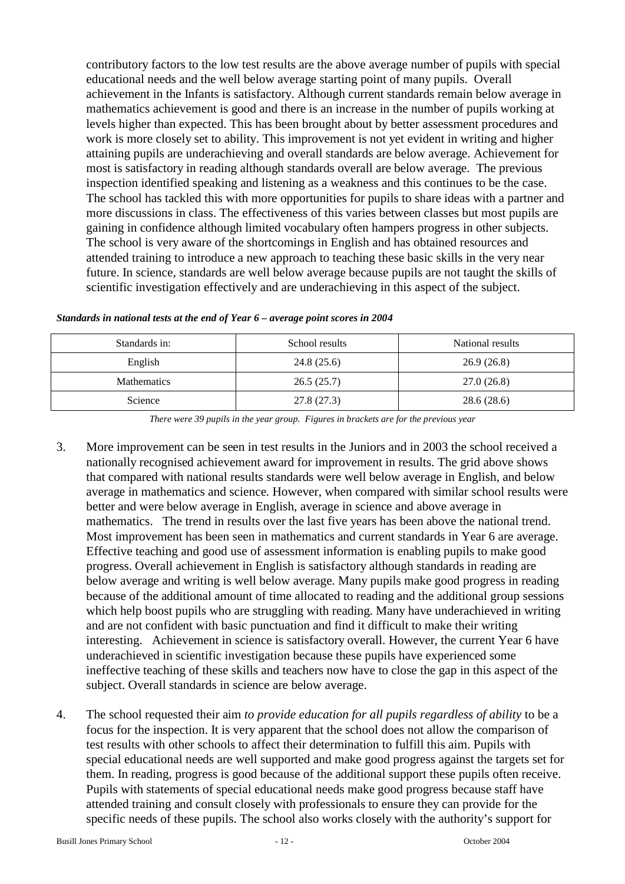contributory factors to the low test results are the above average number of pupils with special educational needs and the well below average starting point of many pupils. Overall achievement in the Infants is satisfactory. Although current standards remain below average in mathematics achievement is good and there is an increase in the number of pupils working at levels higher than expected. This has been brought about by better assessment procedures and work is more closely set to ability. This improvement is not yet evident in writing and higher attaining pupils are underachieving and overall standards are below average. Achievement for most is satisfactory in reading although standards overall are below average. The previous inspection identified speaking and listening as a weakness and this continues to be the case. The school has tackled this with more opportunities for pupils to share ideas with a partner and more discussions in class. The effectiveness of this varies between classes but most pupils are gaining in confidence although limited vocabulary often hampers progress in other subjects. The school is very aware of the shortcomings in English and has obtained resources and attended training to introduce a new approach to teaching these basic skills in the very near future. In science, standards are well below average because pupils are not taught the skills of scientific investigation effectively and are underachieving in this aspect of the subject.

| Standards in:      | School results | National results |
|--------------------|----------------|------------------|
| English            | 24.8(25.6)     | 26.9(26.8)       |
| <b>Mathematics</b> | 26.5(25.7)     | 27.0(26.8)       |
| Science            | 27.8 (27.3)    | 28.6(28.6)       |

*Standards in national tests at the end of Year 6 – average point scores in 2004*

*There were 39 pupils in the year group. Figures in brackets are for the previous year*

- 3. More improvement can be seen in test results in the Juniors and in 2003 the school received a nationally recognised achievement award for improvement in results. The grid above shows that compared with national results standards were well below average in English, and below average in mathematics and science. However, when compared with similar school results were better and were below average in English, average in science and above average in mathematics. The trend in results over the last five years has been above the national trend. Most improvement has been seen in mathematics and current standards in Year 6 are average. Effective teaching and good use of assessment information is enabling pupils to make good progress. Overall achievement in English is satisfactory although standards in reading are below average and writing is well below average. Many pupils make good progress in reading because of the additional amount of time allocated to reading and the additional group sessions which help boost pupils who are struggling with reading. Many have underachieved in writing and are not confident with basic punctuation and find it difficult to make their writing interesting. Achievement in science is satisfactory overall. However, the current Year 6 have underachieved in scientific investigation because these pupils have experienced some ineffective teaching of these skills and teachers now have to close the gap in this aspect of the subject. Overall standards in science are below average.
- 4. The school requested their aim *to provide education for all pupils regardless of ability* to be a focus for the inspection. It is very apparent that the school does not allow the comparison of test results with other schools to affect their determination to fulfill this aim. Pupils with special educational needs are well supported and make good progress against the targets set for them. In reading, progress is good because of the additional support these pupils often receive. Pupils with statements of special educational needs make good progress because staff have attended training and consult closely with professionals to ensure they can provide for the specific needs of these pupils. The school also works closely with the authority's support for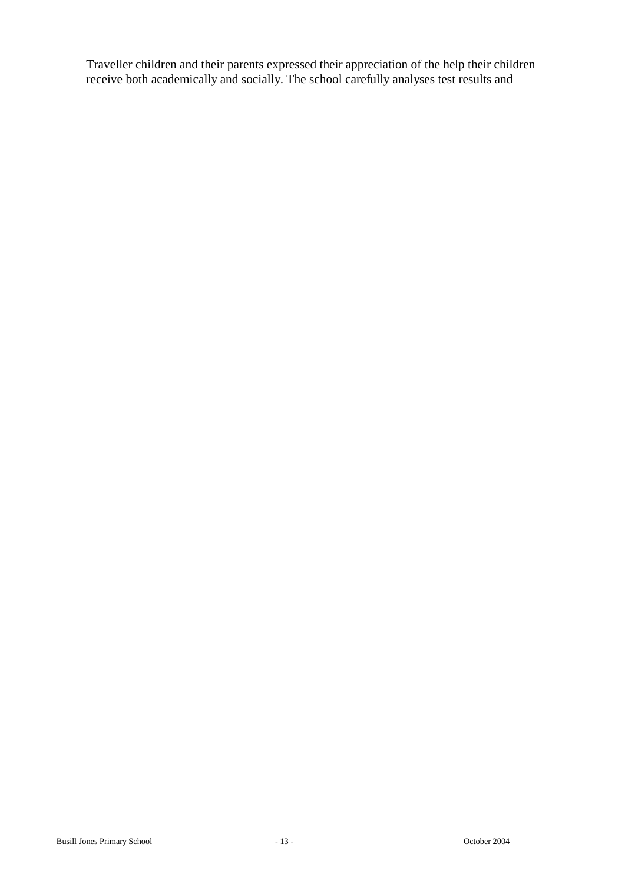Traveller children and their parents expressed their appreciation of the help their children receive both academically and socially. The school carefully analyses test results and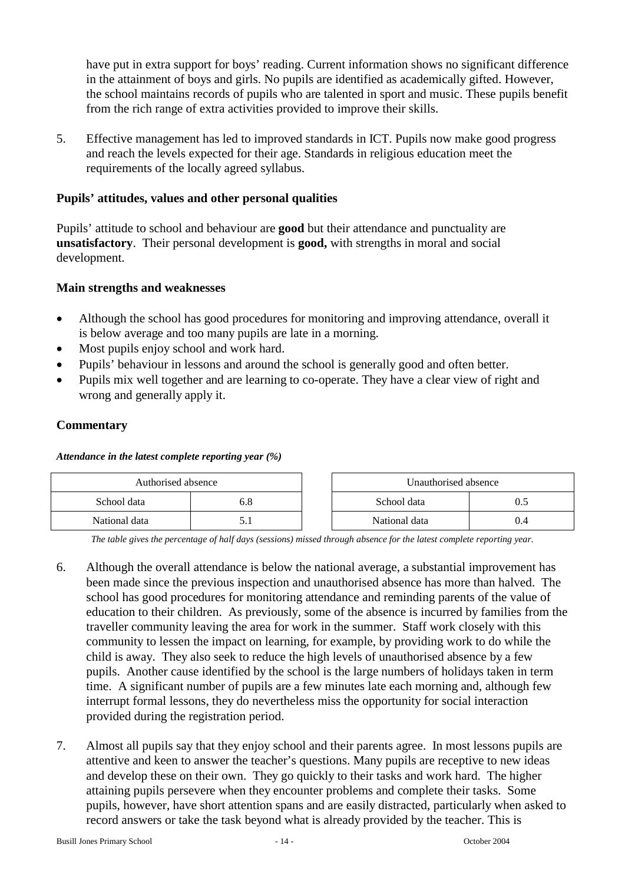have put in extra support for boys' reading. Current information shows no significant difference in the attainment of boys and girls. No pupils are identified as academically gifted. However, the school maintains records of pupils who are talented in sport and music. These pupils benefit from the rich range of extra activities provided to improve their skills.

5. Effective management has led to improved standards in ICT. Pupils now make good progress and reach the levels expected for their age. Standards in religious education meet the requirements of the locally agreed syllabus.

#### **Pupils' attitudes, values and other personal qualities**

Pupils' attitude to school and behaviour are **good** but their attendance and punctuality are **unsatisfactory**. Their personal development is **good,** with strengths in moral and social development.

#### **Main strengths and weaknesses**

- Although the school has good procedures for monitoring and improving attendance, overall it is below average and too many pupils are late in a morning.
- Most pupils enjoy school and work hard.
- Pupils' behaviour in lessons and around the school is generally good and often better.
- Pupils mix well together and are learning to co-operate. They have a clear view of right and wrong and generally apply it.

#### **Commentary**

#### *Attendance in the latest complete reporting year (%)*

| Authorised absence |     | Unauthorised absence |  |  |
|--------------------|-----|----------------------|--|--|
| School data        | b.8 | School data          |  |  |
| National data      |     | National data        |  |  |

*The table gives the percentage of half days (sessions) missed through absence for the latest complete reporting year.*

- 6. Although the overall attendance is below the national average, a substantial improvement has been made since the previous inspection and unauthorised absence has more than halved. The school has good procedures for monitoring attendance and reminding parents of the value of education to their children. As previously, some of the absence is incurred by families from the traveller community leaving the area for work in the summer. Staff work closely with this community to lessen the impact on learning, for example, by providing work to do while the child is away. They also seek to reduce the high levels of unauthorised absence by a few pupils. Another cause identified by the school is the large numbers of holidays taken in term time. A significant number of pupils are a few minutes late each morning and, although few interrupt formal lessons, they do nevertheless miss the opportunity for social interaction provided during the registration period.
- 7. Almost all pupils say that they enjoy school and their parents agree. In most lessons pupils are attentive and keen to answer the teacher's questions. Many pupils are receptive to new ideas and develop these on their own. They go quickly to their tasks and work hard. The higher attaining pupils persevere when they encounter problems and complete their tasks. Some pupils, however, have short attention spans and are easily distracted, particularly when asked to record answers or take the task beyond what is already provided by the teacher. This is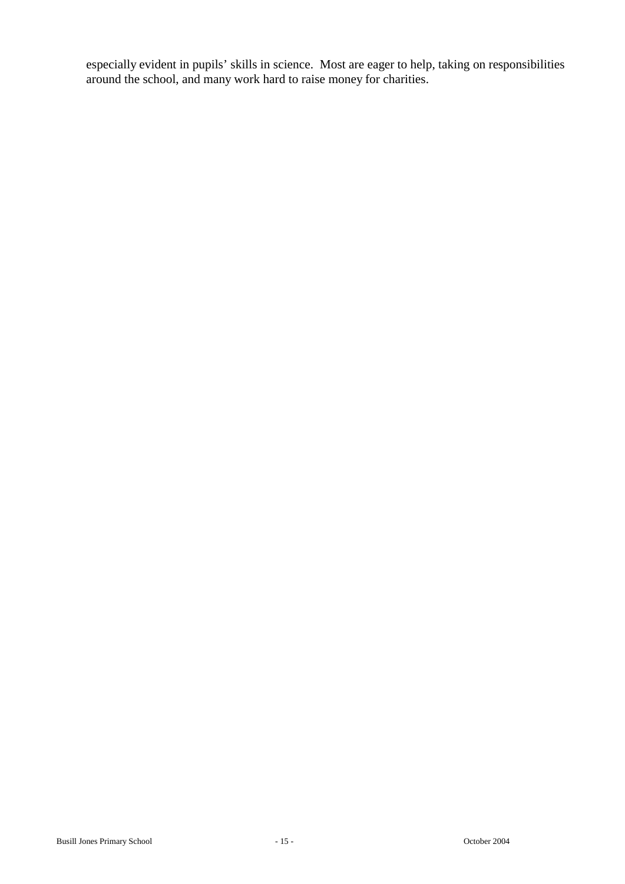especially evident in pupils' skills in science. Most are eager to help, taking on responsibilities around the school, and many work hard to raise money for charities.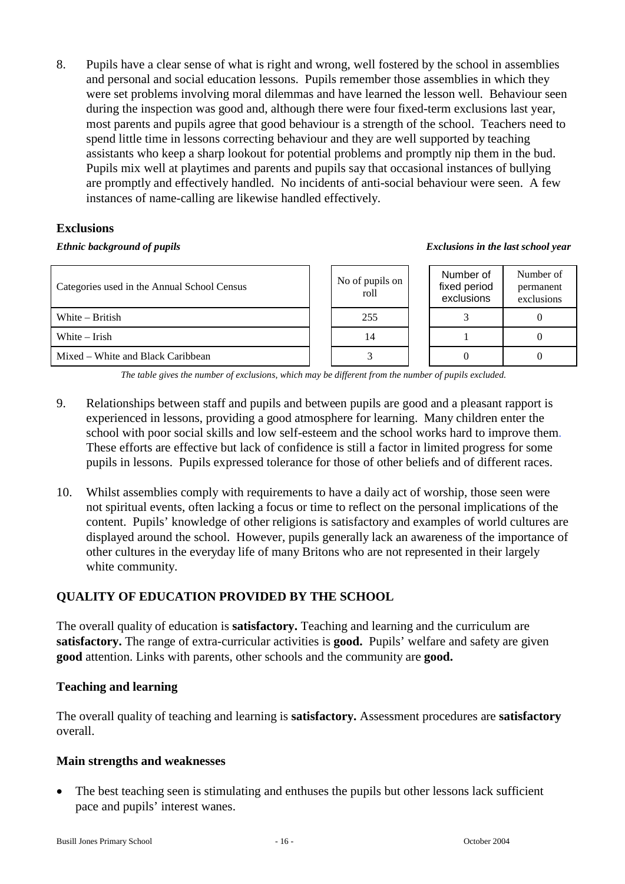8. Pupils have a clear sense of what is right and wrong, well fostered by the school in assemblies and personal and social education lessons. Pupils remember those assemblies in which they were set problems involving moral dilemmas and have learned the lesson well. Behaviour seen during the inspection was good and, although there were four fixed-term exclusions last year, most parents and pupils agree that good behaviour is a strength of the school. Teachers need to spend little time in lessons correcting behaviour and they are well supported by teaching assistants who keep a sharp lookout for potential problems and promptly nip them in the bud. Pupils mix well at playtimes and parents and pupils say that occasional instances of bullying are promptly and effectively handled. No incidents of anti-social behaviour were seen. A few instances of name-calling are likewise handled effectively.

## **Exclusions**

#### *Ethnic background of pupils Exclusions in the last school year*

| Categories used in the Annual School Census | No of pupils on<br>roll | Number of<br>fixed period<br>exclusions | Number of<br>permanent<br>exclusions |
|---------------------------------------------|-------------------------|-----------------------------------------|--------------------------------------|
| White $-$ British                           | 255                     |                                         |                                      |
| White – Irish                               | 14                      |                                         |                                      |
| Mixed – White and Black Caribbean           |                         |                                         |                                      |

*The table gives the number of exclusions, which may be different from the number of pupils excluded.*

- 9. Relationships between staff and pupils and between pupils are good and a pleasant rapport is experienced in lessons, providing a good atmosphere for learning. Many children enter the school with poor social skills and low self-esteem and the school works hard to improve them. These efforts are effective but lack of confidence is still a factor in limited progress for some pupils in lessons. Pupils expressed tolerance for those of other beliefs and of different races.
- 10. Whilst assemblies comply with requirements to have a daily act of worship, those seen were not spiritual events, often lacking a focus or time to reflect on the personal implications of the content. Pupils' knowledge of other religions is satisfactory and examples of world cultures are displayed around the school. However, pupils generally lack an awareness of the importance of other cultures in the everyday life of many Britons who are not represented in their largely white community.

## **QUALITY OF EDUCATION PROVIDED BY THE SCHOOL**

The overall quality of education is **satisfactory.** Teaching and learning and the curriculum are **satisfactory.** The range of extra-curricular activities is **good.** Pupils' welfare and safety are given **good** attention. Links with parents, other schools and the community are **good.**

## **Teaching and learning**

The overall quality of teaching and learning is **satisfactory.** Assessment procedures are **satisfactory**  overall.

## **Main strengths and weaknesses**

• The best teaching seen is stimulating and enthuses the pupils but other lessons lack sufficient pace and pupils' interest wanes.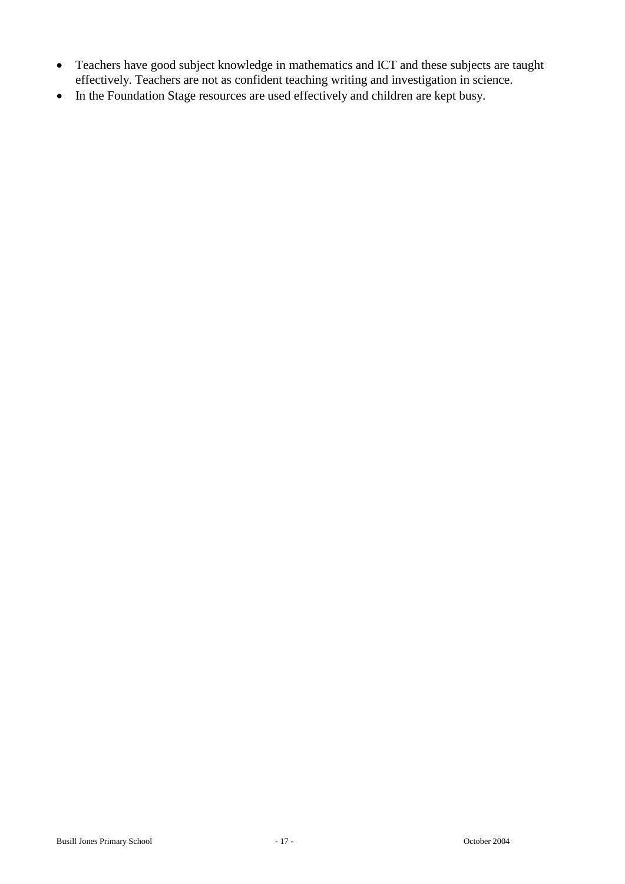- Teachers have good subject knowledge in mathematics and ICT and these subjects are taught effectively. Teachers are not as confident teaching writing and investigation in science.
- In the Foundation Stage resources are used effectively and children are kept busy.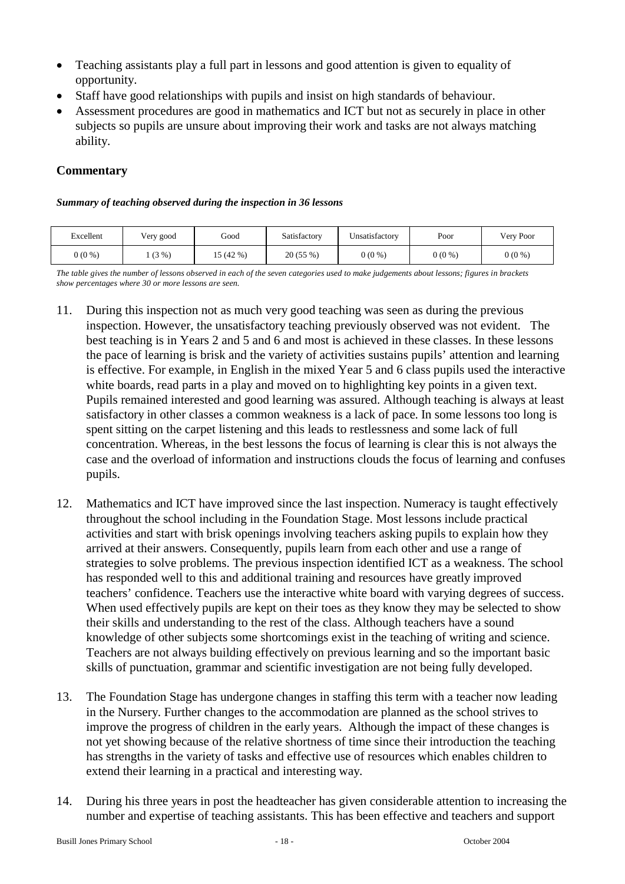- Teaching assistants play a full part in lessons and good attention is given to equality of opportunity.
- Staff have good relationships with pupils and insist on high standards of behaviour.
- Assessment procedures are good in mathematics and ICT but not as securely in place in other subjects so pupils are unsure about improving their work and tasks are not always matching ability.

#### *Summary of teaching observed during the inspection in 36 lessons*

| Excellent | Very good | Good    | Satisfactory | Unsatisfactory | Poor     | Very Poor |
|-----------|-----------|---------|--------------|----------------|----------|-----------|
| $0(0\%)$  | (3%)      | 15(42%) | 20(55%)      | $0(0\%)$       | $0(0\%)$ | $0(0\%)$  |

*The table gives the number of lessons observed in each of the seven categories used to make judgements about lessons; figures in brackets show percentages where 30 or more lessons are seen.*

- 11. During this inspection not as much very good teaching was seen as during the previous inspection. However, the unsatisfactory teaching previously observed was not evident. The best teaching is in Years 2 and 5 and 6 and most is achieved in these classes. In these lessons the pace of learning is brisk and the variety of activities sustains pupils' attention and learning is effective. For example, in English in the mixed Year 5 and 6 class pupils used the interactive white boards, read parts in a play and moved on to highlighting key points in a given text. Pupils remained interested and good learning was assured. Although teaching is always at least satisfactory in other classes a common weakness is a lack of pace. In some lessons too long is spent sitting on the carpet listening and this leads to restlessness and some lack of full concentration. Whereas, in the best lessons the focus of learning is clear this is not always the case and the overload of information and instructions clouds the focus of learning and confuses pupils.
- 12. Mathematics and ICT have improved since the last inspection. Numeracy is taught effectively throughout the school including in the Foundation Stage. Most lessons include practical activities and start with brisk openings involving teachers asking pupils to explain how they arrived at their answers. Consequently, pupils learn from each other and use a range of strategies to solve problems. The previous inspection identified ICT as a weakness. The school has responded well to this and additional training and resources have greatly improved teachers' confidence. Teachers use the interactive white board with varying degrees of success. When used effectively pupils are kept on their toes as they know they may be selected to show their skills and understanding to the rest of the class. Although teachers have a sound knowledge of other subjects some shortcomings exist in the teaching of writing and science. Teachers are not always building effectively on previous learning and so the important basic skills of punctuation, grammar and scientific investigation are not being fully developed.
- 13. The Foundation Stage has undergone changes in staffing this term with a teacher now leading in the Nursery. Further changes to the accommodation are planned as the school strives to improve the progress of children in the early years. Although the impact of these changes is not yet showing because of the relative shortness of time since their introduction the teaching has strengths in the variety of tasks and effective use of resources which enables children to extend their learning in a practical and interesting way.
- 14. During his three years in post the headteacher has given considerable attention to increasing the number and expertise of teaching assistants. This has been effective and teachers and support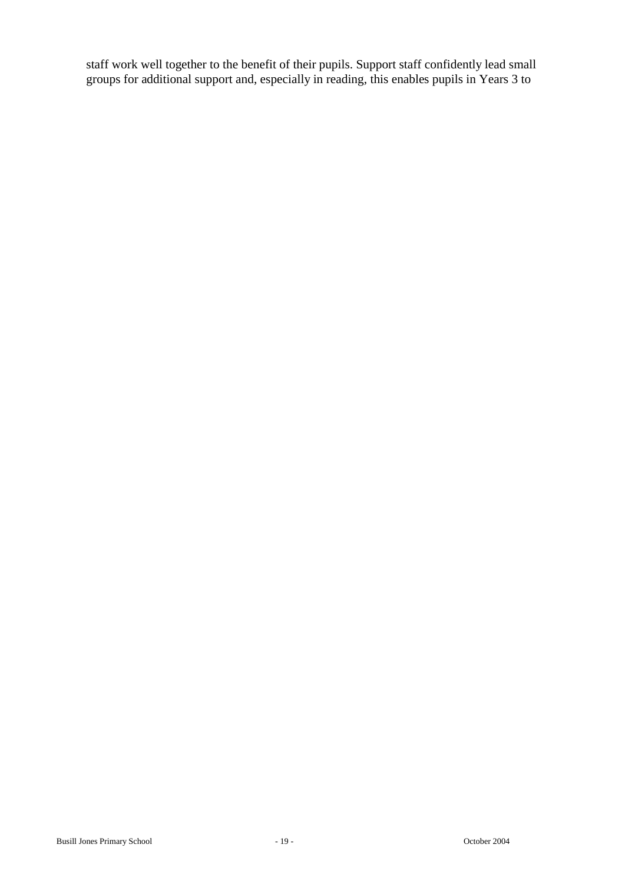staff work well together to the benefit of their pupils. Support staff confidently lead small groups for additional support and, especially in reading, this enables pupils in Years 3 to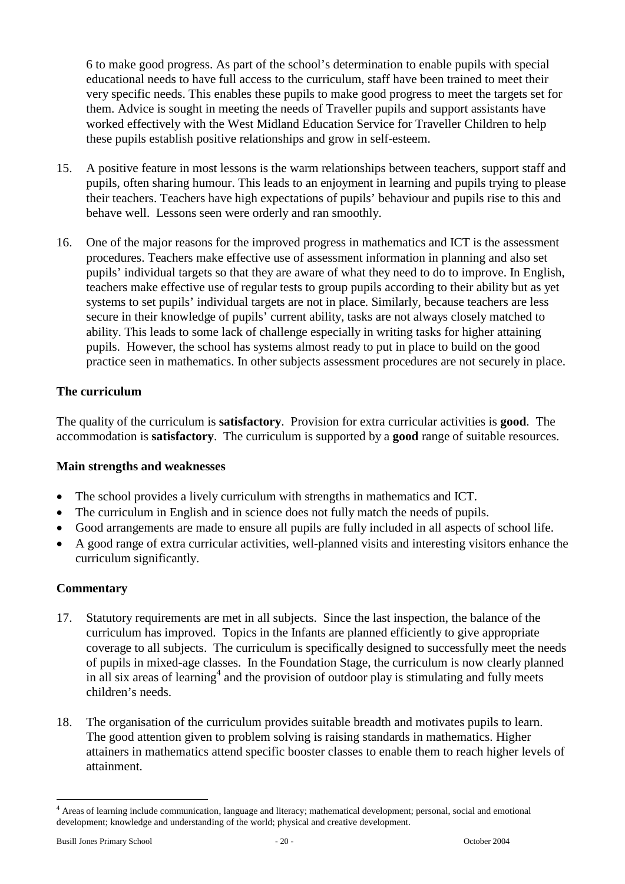6 to make good progress. As part of the school's determination to enable pupils with special educational needs to have full access to the curriculum, staff have been trained to meet their very specific needs. This enables these pupils to make good progress to meet the targets set for them. Advice is sought in meeting the needs of Traveller pupils and support assistants have worked effectively with the West Midland Education Service for Traveller Children to help these pupils establish positive relationships and grow in self-esteem.

- 15. A positive feature in most lessons is the warm relationships between teachers, support staff and pupils, often sharing humour. This leads to an enjoyment in learning and pupils trying to please their teachers. Teachers have high expectations of pupils' behaviour and pupils rise to this and behave well. Lessons seen were orderly and ran smoothly.
- 16. One of the major reasons for the improved progress in mathematics and ICT is the assessment procedures. Teachers make effective use of assessment information in planning and also set pupils' individual targets so that they are aware of what they need to do to improve. In English, teachers make effective use of regular tests to group pupils according to their ability but as yet systems to set pupils' individual targets are not in place. Similarly, because teachers are less secure in their knowledge of pupils' current ability, tasks are not always closely matched to ability. This leads to some lack of challenge especially in writing tasks for higher attaining pupils. However, the school has systems almost ready to put in place to build on the good practice seen in mathematics. In other subjects assessment procedures are not securely in place.

## **The curriculum**

The quality of the curriculum is **satisfactory**. Provision for extra curricular activities is **good**. The accommodation is **satisfactory**. The curriculum is supported by a **good** range of suitable resources.

#### **Main strengths and weaknesses**

- The school provides a lively curriculum with strengths in mathematics and ICT.
- The curriculum in English and in science does not fully match the needs of pupils.
- Good arrangements are made to ensure all pupils are fully included in all aspects of school life.
- A good range of extra curricular activities, well-planned visits and interesting visitors enhance the curriculum significantly.

#### **Commentary**

- 17. Statutory requirements are met in all subjects. Since the last inspection, the balance of the curriculum has improved. Topics in the Infants are planned efficiently to give appropriate coverage to all subjects. The curriculum is specifically designed to successfully meet the needs of pupils in mixed-age classes. In the Foundation Stage, the curriculum is now clearly planned in all six areas of learning<sup>4</sup> and the provision of outdoor play is stimulating and fully meets children's needs.
- 18. The organisation of the curriculum provides suitable breadth and motivates pupils to learn. The good attention given to problem solving is raising standards in mathematics. Higher attainers in mathematics attend specific booster classes to enable them to reach higher levels of attainment.

 $\overline{a}$ 

<sup>&</sup>lt;sup>4</sup> Areas of learning include communication, language and literacy; mathematical development; personal, social and emotional development; knowledge and understanding of the world; physical and creative development.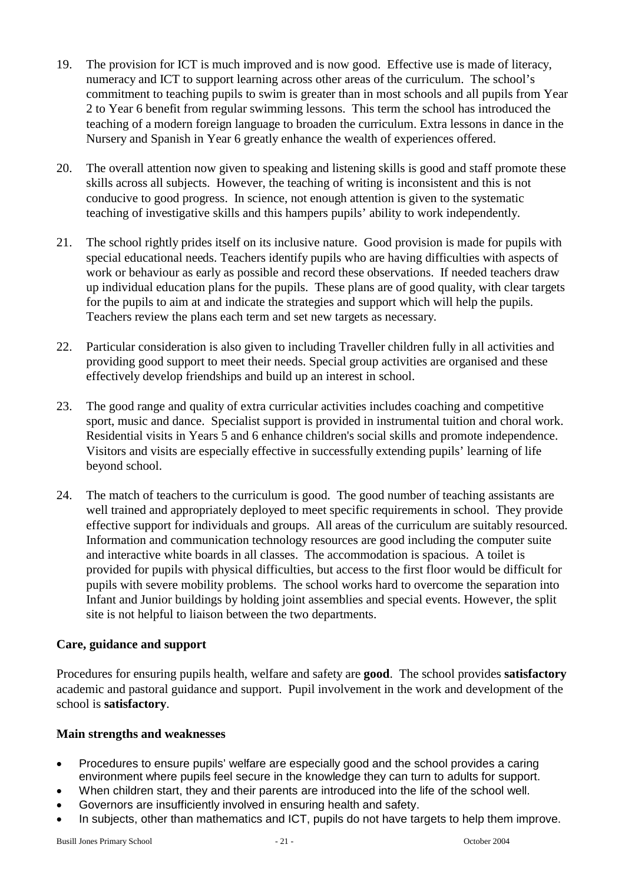- 19. The provision for ICT is much improved and is now good. Effective use is made of literacy, numeracy and ICT to support learning across other areas of the curriculum. The school's commitment to teaching pupils to swim is greater than in most schools and all pupils from Year 2 to Year 6 benefit from regular swimming lessons. This term the school has introduced the teaching of a modern foreign language to broaden the curriculum. Extra lessons in dance in the Nursery and Spanish in Year 6 greatly enhance the wealth of experiences offered.
- 20. The overall attention now given to speaking and listening skills is good and staff promote these skills across all subjects. However, the teaching of writing is inconsistent and this is not conducive to good progress. In science, not enough attention is given to the systematic teaching of investigative skills and this hampers pupils' ability to work independently.
- 21. The school rightly prides itself on its inclusive nature. Good provision is made for pupils with special educational needs. Teachers identify pupils who are having difficulties with aspects of work or behaviour as early as possible and record these observations. If needed teachers draw up individual education plans for the pupils. These plans are of good quality, with clear targets for the pupils to aim at and indicate the strategies and support which will help the pupils. Teachers review the plans each term and set new targets as necessary.
- 22. Particular consideration is also given to including Traveller children fully in all activities and providing good support to meet their needs. Special group activities are organised and these effectively develop friendships and build up an interest in school.
- 23. The good range and quality of extra curricular activities includes coaching and competitive sport, music and dance. Specialist support is provided in instrumental tuition and choral work. Residential visits in Years 5 and 6 enhance children's social skills and promote independence. Visitors and visits are especially effective in successfully extending pupils' learning of life beyond school.
- 24. The match of teachers to the curriculum is good. The good number of teaching assistants are well trained and appropriately deployed to meet specific requirements in school. They provide effective support for individuals and groups. All areas of the curriculum are suitably resourced. Information and communication technology resources are good including the computer suite and interactive white boards in all classes. The accommodation is spacious. A toilet is provided for pupils with physical difficulties, but access to the first floor would be difficult for pupils with severe mobility problems. The school works hard to overcome the separation into Infant and Junior buildings by holding joint assemblies and special events. However, the split site is not helpful to liaison between the two departments.

## **Care, guidance and support**

Procedures for ensuring pupils health, welfare and safety are **good**. The school provides **satisfactory**  academic and pastoral guidance and support. Pupil involvement in the work and development of the school is **satisfactory**.

- Procedures to ensure pupils' welfare are especially good and the school provides a caring environment where pupils feel secure in the knowledge they can turn to adults for support.
- When children start, they and their parents are introduced into the life of the school well.
- Governors are insufficiently involved in ensuring health and safety.
- In subjects, other than mathematics and ICT, pupils do not have targets to help them improve.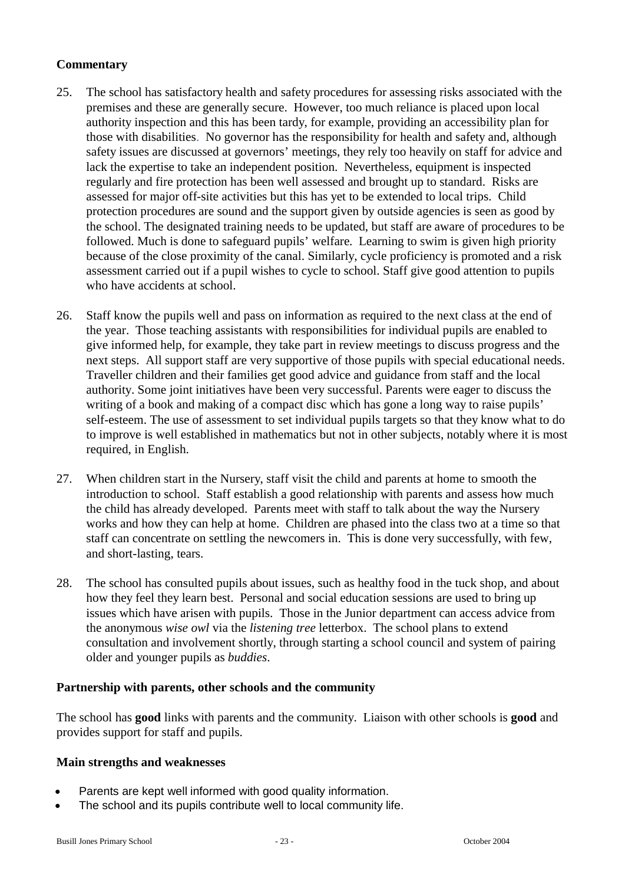- 25. The school has satisfactory health and safety procedures for assessing risks associated with the premises and these are generally secure. However, too much reliance is placed upon local authority inspection and this has been tardy, for example, providing an accessibility plan for those with disabilities. No governor has the responsibility for health and safety and, although safety issues are discussed at governors' meetings, they rely too heavily on staff for advice and lack the expertise to take an independent position. Nevertheless, equipment is inspected regularly and fire protection has been well assessed and brought up to standard. Risks are assessed for major off-site activities but this has yet to be extended to local trips. Child protection procedures are sound and the support given by outside agencies is seen as good by the school. The designated training needs to be updated, but staff are aware of procedures to be followed. Much is done to safeguard pupils' welfare. Learning to swim is given high priority because of the close proximity of the canal. Similarly, cycle proficiency is promoted and a risk assessment carried out if a pupil wishes to cycle to school. Staff give good attention to pupils who have accidents at school.
- 26. Staff know the pupils well and pass on information as required to the next class at the end of the year. Those teaching assistants with responsibilities for individual pupils are enabled to give informed help, for example, they take part in review meetings to discuss progress and the next steps. All support staff are very supportive of those pupils with special educational needs. Traveller children and their families get good advice and guidance from staff and the local authority. Some joint initiatives have been very successful. Parents were eager to discuss the writing of a book and making of a compact disc which has gone a long way to raise pupils' self-esteem. The use of assessment to set individual pupils targets so that they know what to do to improve is well established in mathematics but not in other subjects, notably where it is most required, in English.
- 27. When children start in the Nursery, staff visit the child and parents at home to smooth the introduction to school. Staff establish a good relationship with parents and assess how much the child has already developed. Parents meet with staff to talk about the way the Nursery works and how they can help at home. Children are phased into the class two at a time so that staff can concentrate on settling the newcomers in. This is done very successfully, with few, and short-lasting, tears.
- 28. The school has consulted pupils about issues, such as healthy food in the tuck shop, and about how they feel they learn best. Personal and social education sessions are used to bring up issues which have arisen with pupils. Those in the Junior department can access advice from the anonymous *wise owl* via the *listening tree* letterbox. The school plans to extend consultation and involvement shortly, through starting a school council and system of pairing older and younger pupils as *buddies*.

## **Partnership with parents, other schools and the community**

The school has **good** links with parents and the community. Liaison with other schools is **good** and provides support for staff and pupils.

- Parents are kept well informed with good quality information.
- The school and its pupils contribute well to local community life.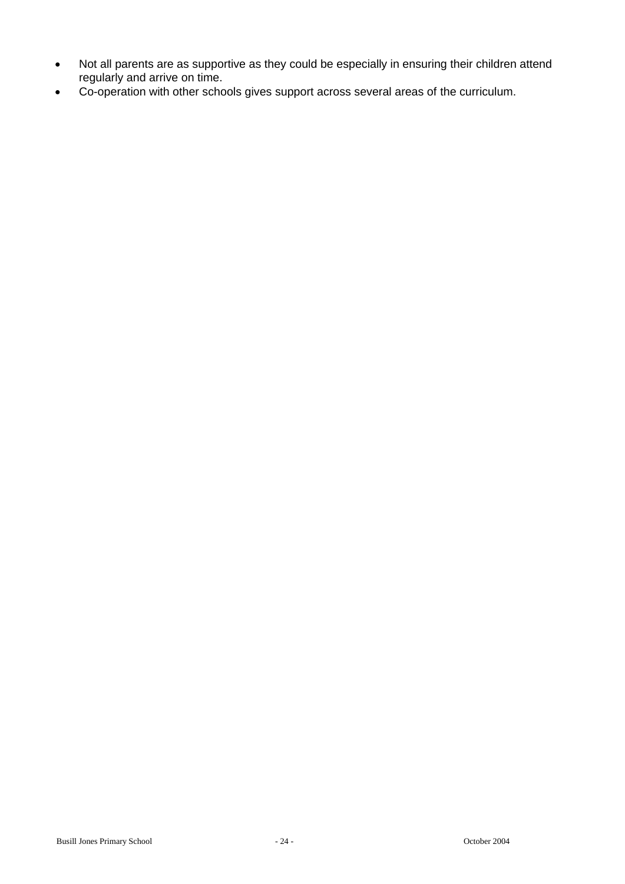- Not all parents are as supportive as they could be especially in ensuring their children attend regularly and arrive on time.
- Co-operation with other schools gives support across several areas of the curriculum.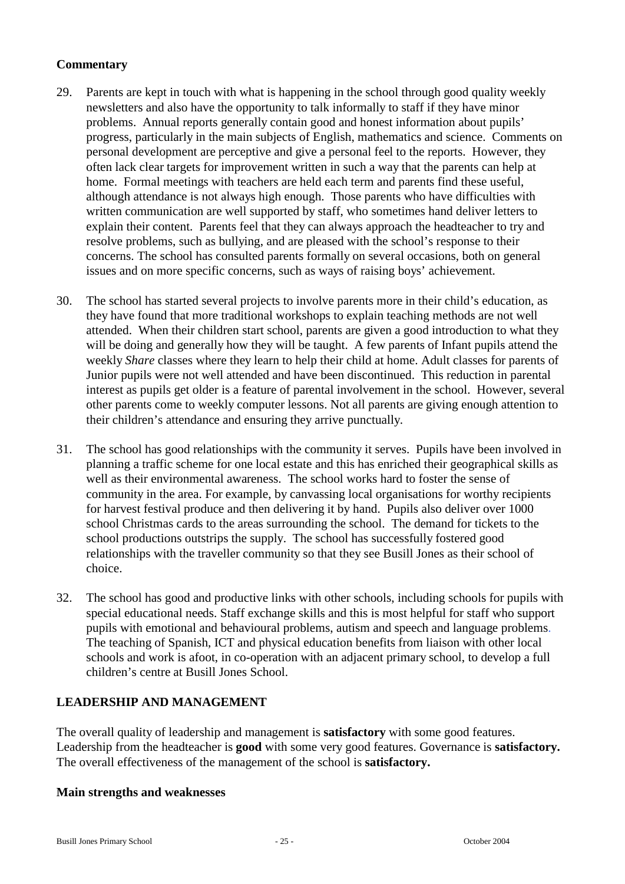- 29. Parents are kept in touch with what is happening in the school through good quality weekly newsletters and also have the opportunity to talk informally to staff if they have minor problems. Annual reports generally contain good and honest information about pupils' progress, particularly in the main subjects of English, mathematics and science. Comments on personal development are perceptive and give a personal feel to the reports. However, they often lack clear targets for improvement written in such a way that the parents can help at home. Formal meetings with teachers are held each term and parents find these useful, although attendance is not always high enough. Those parents who have difficulties with written communication are well supported by staff, who sometimes hand deliver letters to explain their content. Parents feel that they can always approach the headteacher to try and resolve problems, such as bullying, and are pleased with the school's response to their concerns. The school has consulted parents formally on several occasions, both on general issues and on more specific concerns, such as ways of raising boys' achievement.
- 30. The school has started several projects to involve parents more in their child's education, as they have found that more traditional workshops to explain teaching methods are not well attended. When their children start school, parents are given a good introduction to what they will be doing and generally how they will be taught. A few parents of Infant pupils attend the weekly *Share* classes where they learn to help their child at home. Adult classes for parents of Junior pupils were not well attended and have been discontinued. This reduction in parental interest as pupils get older is a feature of parental involvement in the school. However, several other parents come to weekly computer lessons. Not all parents are giving enough attention to their children's attendance and ensuring they arrive punctually.
- 31. The school has good relationships with the community it serves. Pupils have been involved in planning a traffic scheme for one local estate and this has enriched their geographical skills as well as their environmental awareness. The school works hard to foster the sense of community in the area. For example, by canvassing local organisations for worthy recipients for harvest festival produce and then delivering it by hand. Pupils also deliver over 1000 school Christmas cards to the areas surrounding the school. The demand for tickets to the school productions outstrips the supply. The school has successfully fostered good relationships with the traveller community so that they see Busill Jones as their school of choice.
- 32. The school has good and productive links with other schools, including schools for pupils with special educational needs. Staff exchange skills and this is most helpful for staff who support pupils with emotional and behavioural problems, autism and speech and language problems. The teaching of Spanish, ICT and physical education benefits from liaison with other local schools and work is afoot, in co-operation with an adjacent primary school, to develop a full children's centre at Busill Jones School.

## **LEADERSHIP AND MANAGEMENT**

The overall quality of leadership and management is **satisfactory** with some good features. Leadership from the headteacher is **good** with some very good features. Governance is **satisfactory.**  The overall effectiveness of the management of the school is **satisfactory.**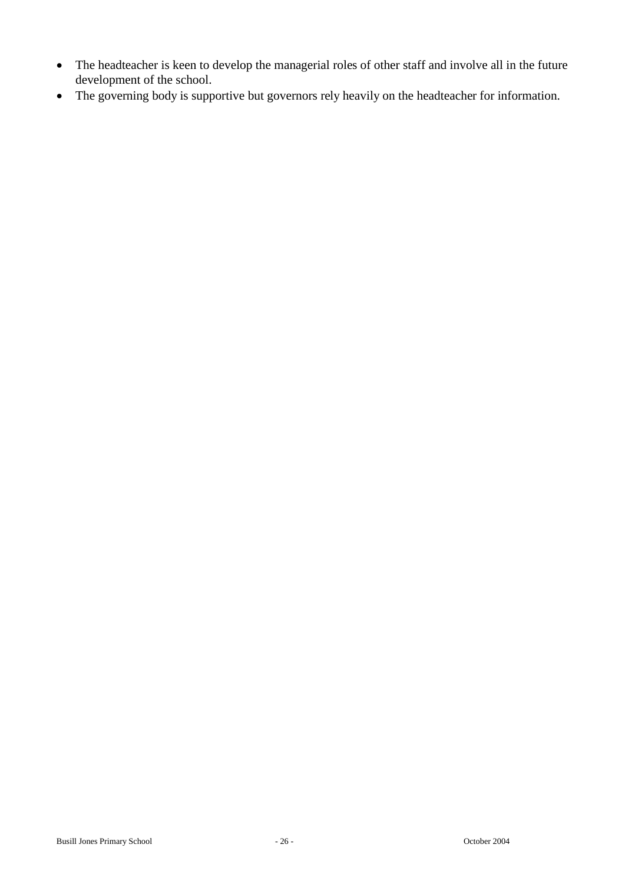- The headteacher is keen to develop the managerial roles of other staff and involve all in the future development of the school.
- The governing body is supportive but governors rely heavily on the headteacher for information.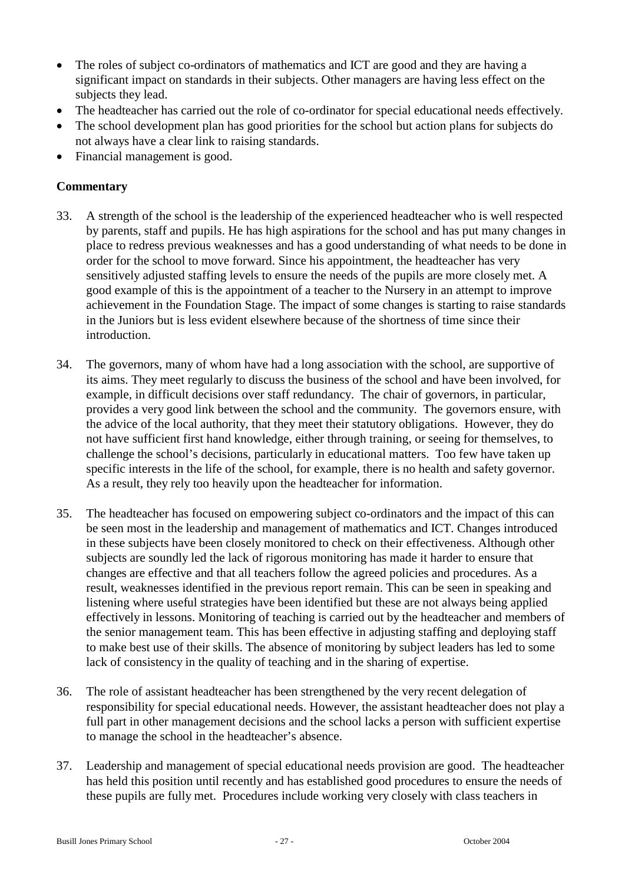- The roles of subject co-ordinators of mathematics and ICT are good and they are having a significant impact on standards in their subjects. Other managers are having less effect on the subjects they lead.
- The headteacher has carried out the role of co-ordinator for special educational needs effectively.
- The school development plan has good priorities for the school but action plans for subjects do not always have a clear link to raising standards.
- Financial management is good.

- 33. A strength of the school is the leadership of the experienced headteacher who is well respected by parents, staff and pupils. He has high aspirations for the school and has put many changes in place to redress previous weaknesses and has a good understanding of what needs to be done in order for the school to move forward. Since his appointment, the headteacher has very sensitively adjusted staffing levels to ensure the needs of the pupils are more closely met. A good example of this is the appointment of a teacher to the Nursery in an attempt to improve achievement in the Foundation Stage. The impact of some changes is starting to raise standards in the Juniors but is less evident elsewhere because of the shortness of time since their introduction.
- 34. The governors, many of whom have had a long association with the school, are supportive of its aims. They meet regularly to discuss the business of the school and have been involved, for example, in difficult decisions over staff redundancy. The chair of governors, in particular, provides a very good link between the school and the community. The governors ensure, with the advice of the local authority, that they meet their statutory obligations. However, they do not have sufficient first hand knowledge, either through training, or seeing for themselves, to challenge the school's decisions, particularly in educational matters. Too few have taken up specific interests in the life of the school, for example, there is no health and safety governor. As a result, they rely too heavily upon the headteacher for information.
- 35. The headteacher has focused on empowering subject co-ordinators and the impact of this can be seen most in the leadership and management of mathematics and ICT. Changes introduced in these subjects have been closely monitored to check on their effectiveness. Although other subjects are soundly led the lack of rigorous monitoring has made it harder to ensure that changes are effective and that all teachers follow the agreed policies and procedures. As a result, weaknesses identified in the previous report remain. This can be seen in speaking and listening where useful strategies have been identified but these are not always being applied effectively in lessons. Monitoring of teaching is carried out by the headteacher and members of the senior management team. This has been effective in adjusting staffing and deploying staff to make best use of their skills. The absence of monitoring by subject leaders has led to some lack of consistency in the quality of teaching and in the sharing of expertise.
- 36. The role of assistant headteacher has been strengthened by the very recent delegation of responsibility for special educational needs. However, the assistant headteacher does not play a full part in other management decisions and the school lacks a person with sufficient expertise to manage the school in the headteacher's absence.
- 37. Leadership and management of special educational needs provision are good. The headteacher has held this position until recently and has established good procedures to ensure the needs of these pupils are fully met. Procedures include working very closely with class teachers in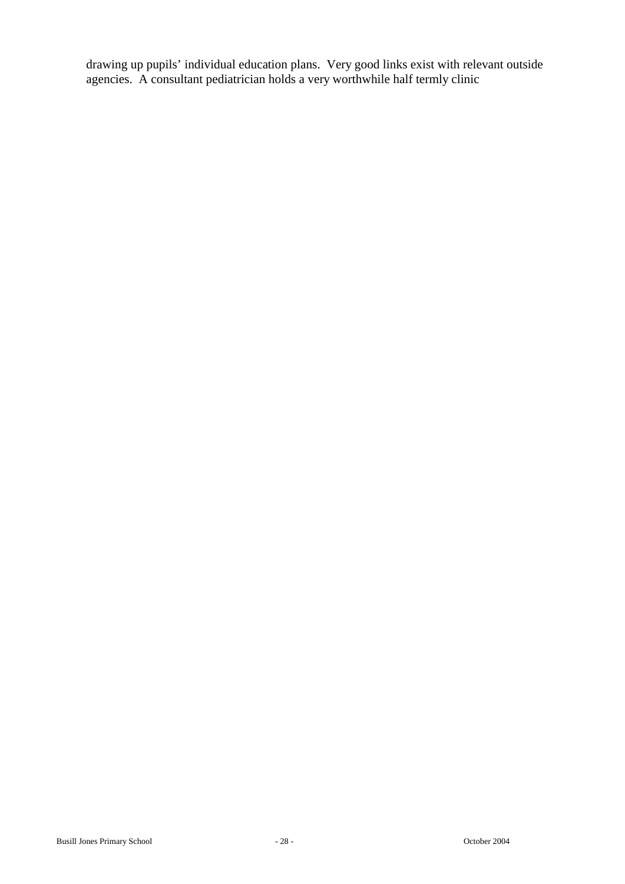drawing up pupils' individual education plans. Very good links exist with relevant outside agencies. A consultant pediatrician holds a very worthwhile half termly clinic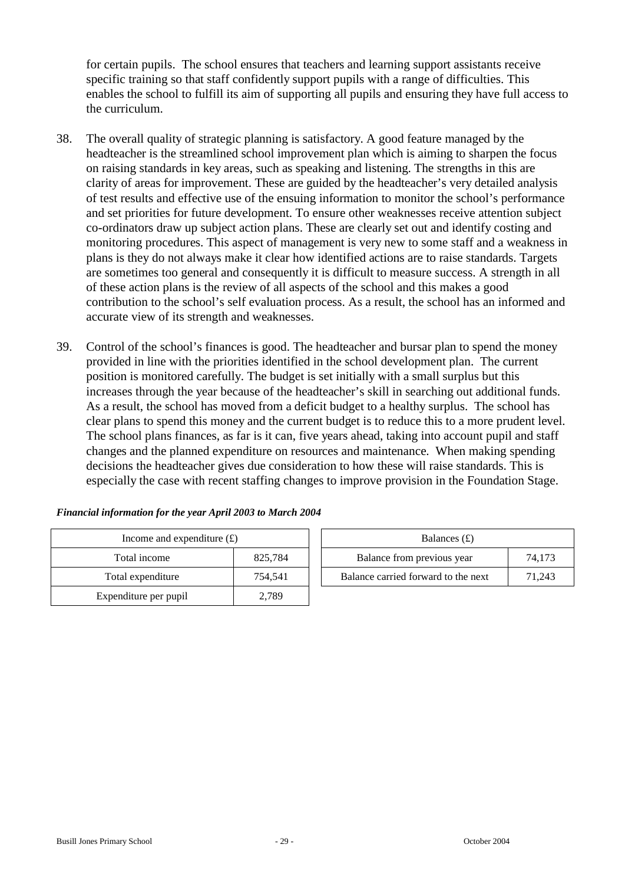for certain pupils. The school ensures that teachers and learning support assistants receive specific training so that staff confidently support pupils with a range of difficulties. This enables the school to fulfill its aim of supporting all pupils and ensuring they have full access to the curriculum.

- 38. The overall quality of strategic planning is satisfactory. A good feature managed by the headteacher is the streamlined school improvement plan which is aiming to sharpen the focus on raising standards in key areas, such as speaking and listening. The strengths in this are clarity of areas for improvement. These are guided by the headteacher's very detailed analysis of test results and effective use of the ensuing information to monitor the school's performance and set priorities for future development. To ensure other weaknesses receive attention subject co-ordinators draw up subject action plans. These are clearly set out and identify costing and monitoring procedures. This aspect of management is very new to some staff and a weakness in plans is they do not always make it clear how identified actions are to raise standards. Targets are sometimes too general and consequently it is difficult to measure success. A strength in all of these action plans is the review of all aspects of the school and this makes a good contribution to the school's self evaluation process. As a result, the school has an informed and accurate view of its strength and weaknesses.
- 39. Control of the school's finances is good. The headteacher and bursar plan to spend the money provided in line with the priorities identified in the school development plan. The current position is monitored carefully. The budget is set initially with a small surplus but this increases through the year because of the headteacher's skill in searching out additional funds. As a result, the school has moved from a deficit budget to a healthy surplus. The school has clear plans to spend this money and the current budget is to reduce this to a more prudent level. The school plans finances, as far is it can, five years ahead, taking into account pupil and staff changes and the planned expenditure on resources and maintenance. When making spending decisions the headteacher gives due consideration to how these will raise standards. This is especially the case with recent staffing changes to improve provision in the Foundation Stage.

| Income and expenditure $(f)$ | Balances $(f)$ |                                  |
|------------------------------|----------------|----------------------------------|
| Total income                 | 825,784        | Balance from previous year       |
| Total expenditure            | 754,541        | Balance carried forward to the r |
| Expenditure per pupil        | 2,789          |                                  |

| Income and expenditure $(f)$ |         | Balances $(f)$                      |        |
|------------------------------|---------|-------------------------------------|--------|
| Total income                 | 825.784 | Balance from previous year          | 74.173 |
| Total expenditure            | 754.541 | Balance carried forward to the next | 71.243 |

#### *Financial information for the year April 2003 to March 2004*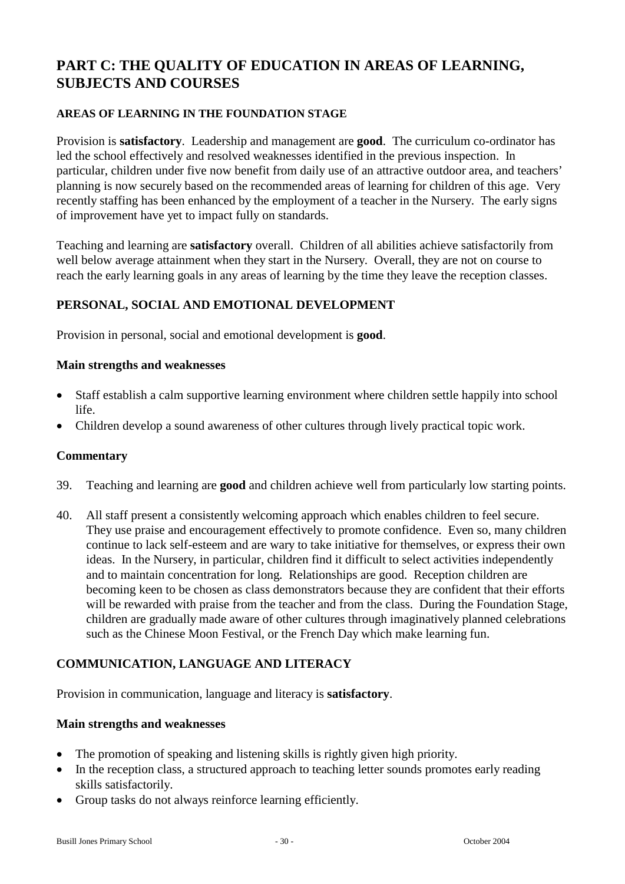# **PART C: THE QUALITY OF EDUCATION IN AREAS OF LEARNING, SUBJECTS AND COURSES**

#### **AREAS OF LEARNING IN THE FOUNDATION STAGE**

Provision is **satisfactory**. Leadership and management are **good**. The curriculum co-ordinator has led the school effectively and resolved weaknesses identified in the previous inspection. In particular, children under five now benefit from daily use of an attractive outdoor area, and teachers' planning is now securely based on the recommended areas of learning for children of this age. Very recently staffing has been enhanced by the employment of a teacher in the Nursery. The early signs of improvement have yet to impact fully on standards.

Teaching and learning are **satisfactory** overall. Children of all abilities achieve satisfactorily from well below average attainment when they start in the Nursery. Overall, they are not on course to reach the early learning goals in any areas of learning by the time they leave the reception classes.

## **PERSONAL, SOCIAL AND EMOTIONAL DEVELOPMENT**

Provision in personal, social and emotional development is **good**.

#### **Main strengths and weaknesses**

- Staff establish a calm supportive learning environment where children settle happily into school life.
- Children develop a sound awareness of other cultures through lively practical topic work.

#### **Commentary**

- 39. Teaching and learning are **good** and children achieve well from particularly low starting points.
- 40. All staff present a consistently welcoming approach which enables children to feel secure. They use praise and encouragement effectively to promote confidence. Even so, many children continue to lack self-esteem and are wary to take initiative for themselves, or express their own ideas. In the Nursery, in particular, children find it difficult to select activities independently and to maintain concentration for long. Relationships are good. Reception children are becoming keen to be chosen as class demonstrators because they are confident that their efforts will be rewarded with praise from the teacher and from the class. During the Foundation Stage, children are gradually made aware of other cultures through imaginatively planned celebrations such as the Chinese Moon Festival, or the French Day which make learning fun.

## **COMMUNICATION, LANGUAGE AND LITERACY**

Provision in communication, language and literacy is **satisfactory**.

- The promotion of speaking and listening skills is rightly given high priority.
- In the reception class, a structured approach to teaching letter sounds promotes early reading skills satisfactorily.
- Group tasks do not always reinforce learning efficiently.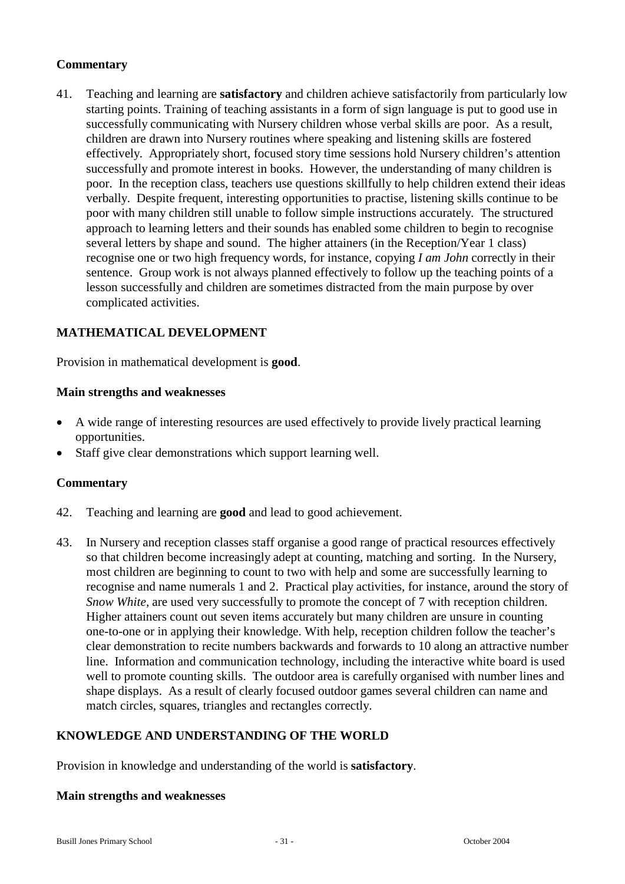41. Teaching and learning are **satisfactory** and children achieve satisfactorily from particularly low starting points. Training of teaching assistants in a form of sign language is put to good use in successfully communicating with Nursery children whose verbal skills are poor. As a result, children are drawn into Nursery routines where speaking and listening skills are fostered effectively. Appropriately short, focused story time sessions hold Nursery children's attention successfully and promote interest in books. However, the understanding of many children is poor. In the reception class, teachers use questions skillfully to help children extend their ideas verbally. Despite frequent, interesting opportunities to practise, listening skills continue to be poor with many children still unable to follow simple instructions accurately. The structured approach to learning letters and their sounds has enabled some children to begin to recognise several letters by shape and sound. The higher attainers (in the Reception/Year 1 class) recognise one or two high frequency words, for instance, copying *I am John* correctly in their sentence. Group work is not always planned effectively to follow up the teaching points of a lesson successfully and children are sometimes distracted from the main purpose by over complicated activities.

## **MATHEMATICAL DEVELOPMENT**

Provision in mathematical development is **good**.

#### **Main strengths and weaknesses**

- A wide range of interesting resources are used effectively to provide lively practical learning opportunities.
- Staff give clear demonstrations which support learning well.

## **Commentary**

- 42. Teaching and learning are **good** and lead to good achievement.
- 43. In Nursery and reception classes staff organise a good range of practical resources effectively so that children become increasingly adept at counting, matching and sorting. In the Nursery, most children are beginning to count to two with help and some are successfully learning to recognise and name numerals 1 and 2. Practical play activities, for instance, around the story of *Snow White,* are used very successfully to promote the concept of 7 with reception children. Higher attainers count out seven items accurately but many children are unsure in counting one-to-one or in applying their knowledge. With help, reception children follow the teacher's clear demonstration to recite numbers backwards and forwards to 10 along an attractive number line. Information and communication technology, including the interactive white board is used well to promote counting skills. The outdoor area is carefully organised with number lines and shape displays. As a result of clearly focused outdoor games several children can name and match circles, squares, triangles and rectangles correctly.

## **KNOWLEDGE AND UNDERSTANDING OF THE WORLD**

Provision in knowledge and understanding of the world is **satisfactory**.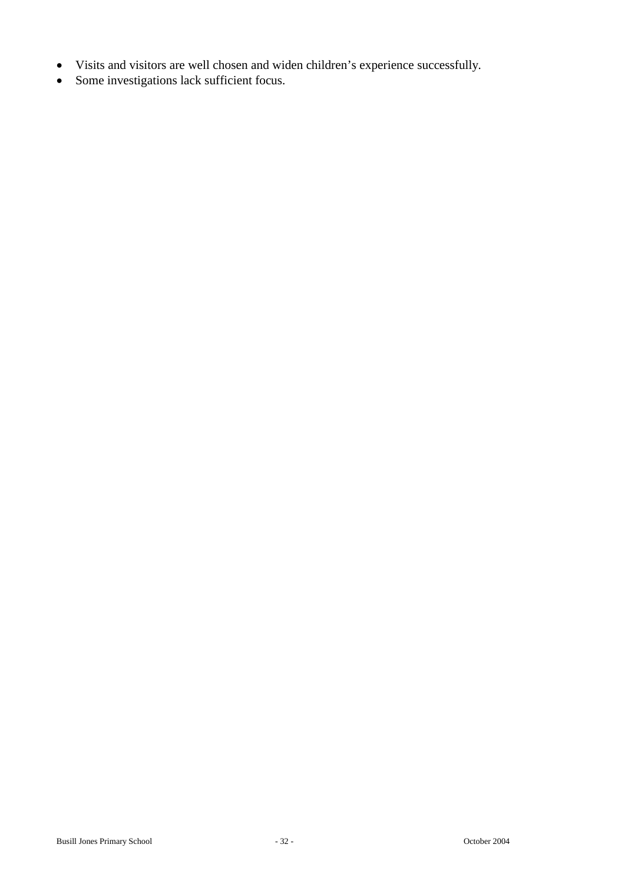- Visits and visitors are well chosen and widen children's experience successfully.
- Some investigations lack sufficient focus.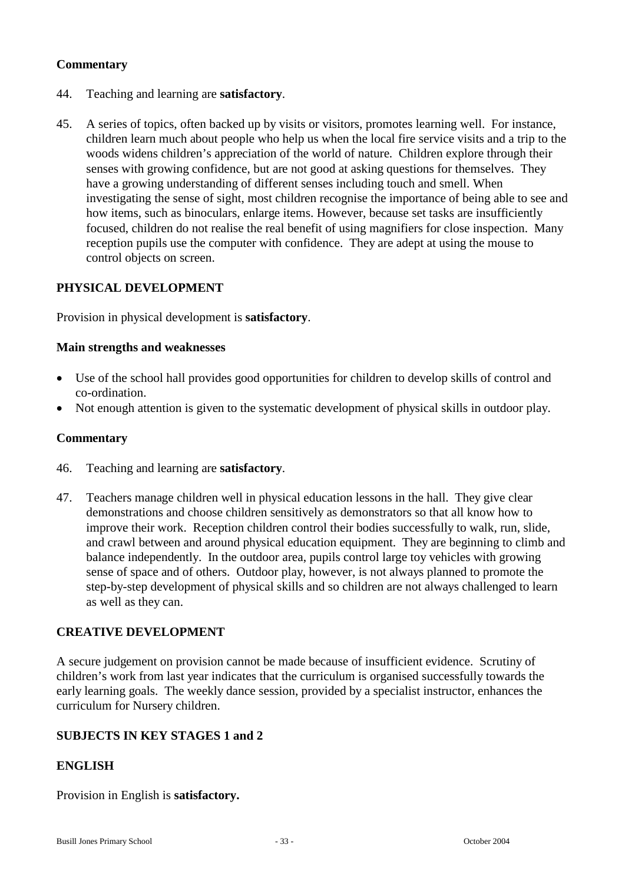- 44. Teaching and learning are **satisfactory**.
- 45. A series of topics, often backed up by visits or visitors, promotes learning well. For instance, children learn much about people who help us when the local fire service visits and a trip to the woods widens children's appreciation of the world of nature. Children explore through their senses with growing confidence, but are not good at asking questions for themselves. They have a growing understanding of different senses including touch and smell. When investigating the sense of sight, most children recognise the importance of being able to see and how items, such as binoculars, enlarge items. However, because set tasks are insufficiently focused, children do not realise the real benefit of using magnifiers for close inspection. Many reception pupils use the computer with confidence. They are adept at using the mouse to control objects on screen.

## **PHYSICAL DEVELOPMENT**

Provision in physical development is **satisfactory**.

#### **Main strengths and weaknesses**

- Use of the school hall provides good opportunities for children to develop skills of control and co-ordination.
- Not enough attention is given to the systematic development of physical skills in outdoor play.

#### **Commentary**

- 46. Teaching and learning are **satisfactory**.
- 47. Teachers manage children well in physical education lessons in the hall. They give clear demonstrations and choose children sensitively as demonstrators so that all know how to improve their work. Reception children control their bodies successfully to walk, run, slide, and crawl between and around physical education equipment. They are beginning to climb and balance independently. In the outdoor area, pupils control large toy vehicles with growing sense of space and of others. Outdoor play, however, is not always planned to promote the step-by-step development of physical skills and so children are not always challenged to learn as well as they can.

## **CREATIVE DEVELOPMENT**

A secure judgement on provision cannot be made because of insufficient evidence. Scrutiny of children's work from last year indicates that the curriculum is organised successfully towards the early learning goals. The weekly dance session, provided by a specialist instructor, enhances the curriculum for Nursery children.

## **SUBJECTS IN KEY STAGES 1 and 2**

## **ENGLISH**

Provision in English is **satisfactory.**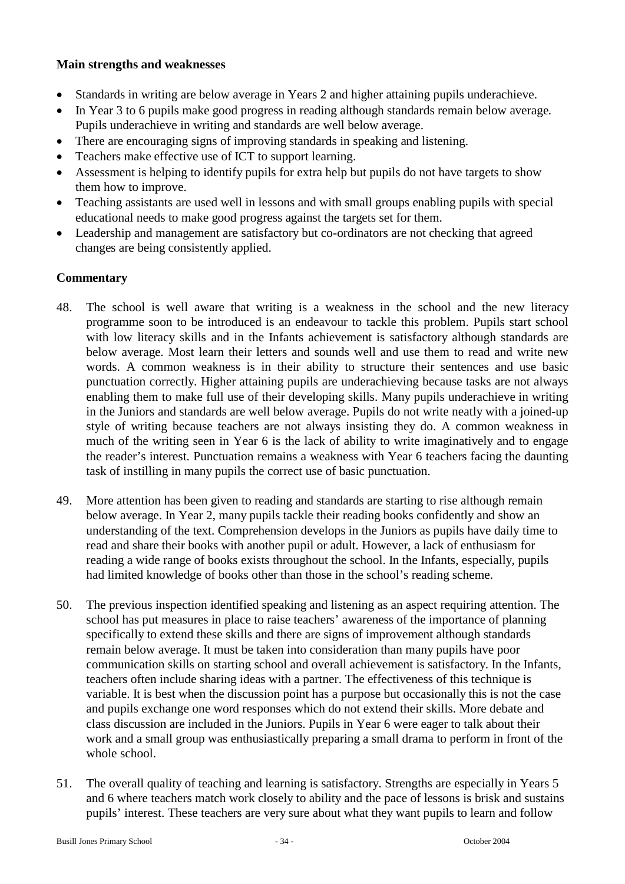## **Main strengths and weaknesses**

- Standards in writing are below average in Years 2 and higher attaining pupils underachieve.
- In Year 3 to 6 pupils make good progress in reading although standards remain below average. Pupils underachieve in writing and standards are well below average.
- There are encouraging signs of improving standards in speaking and listening.
- Teachers make effective use of ICT to support learning.
- Assessment is helping to identify pupils for extra help but pupils do not have targets to show them how to improve.
- Teaching assistants are used well in lessons and with small groups enabling pupils with special educational needs to make good progress against the targets set for them.
- Leadership and management are satisfactory but co-ordinators are not checking that agreed changes are being consistently applied.

#### **Commentary**

- 48. The school is well aware that writing is a weakness in the school and the new literacy programme soon to be introduced is an endeavour to tackle this problem. Pupils start school with low literacy skills and in the Infants achievement is satisfactory although standards are below average. Most learn their letters and sounds well and use them to read and write new words. A common weakness is in their ability to structure their sentences and use basic punctuation correctly. Higher attaining pupils are underachieving because tasks are not always enabling them to make full use of their developing skills. Many pupils underachieve in writing in the Juniors and standards are well below average. Pupils do not write neatly with a joined-up style of writing because teachers are not always insisting they do. A common weakness in much of the writing seen in Year 6 is the lack of ability to write imaginatively and to engage the reader's interest. Punctuation remains a weakness with Year 6 teachers facing the daunting task of instilling in many pupils the correct use of basic punctuation.
- 49. More attention has been given to reading and standards are starting to rise although remain below average. In Year 2, many pupils tackle their reading books confidently and show an understanding of the text. Comprehension develops in the Juniors as pupils have daily time to read and share their books with another pupil or adult. However, a lack of enthusiasm for reading a wide range of books exists throughout the school. In the Infants, especially, pupils had limited knowledge of books other than those in the school's reading scheme.
- 50. The previous inspection identified speaking and listening as an aspect requiring attention. The school has put measures in place to raise teachers' awareness of the importance of planning specifically to extend these skills and there are signs of improvement although standards remain below average. It must be taken into consideration than many pupils have poor communication skills on starting school and overall achievement is satisfactory. In the Infants, teachers often include sharing ideas with a partner. The effectiveness of this technique is variable. It is best when the discussion point has a purpose but occasionally this is not the case and pupils exchange one word responses which do not extend their skills. More debate and class discussion are included in the Juniors. Pupils in Year 6 were eager to talk about their work and a small group was enthusiastically preparing a small drama to perform in front of the whole school.
- 51. The overall quality of teaching and learning is satisfactory. Strengths are especially in Years 5 and 6 where teachers match work closely to ability and the pace of lessons is brisk and sustains pupils' interest. These teachers are very sure about what they want pupils to learn and follow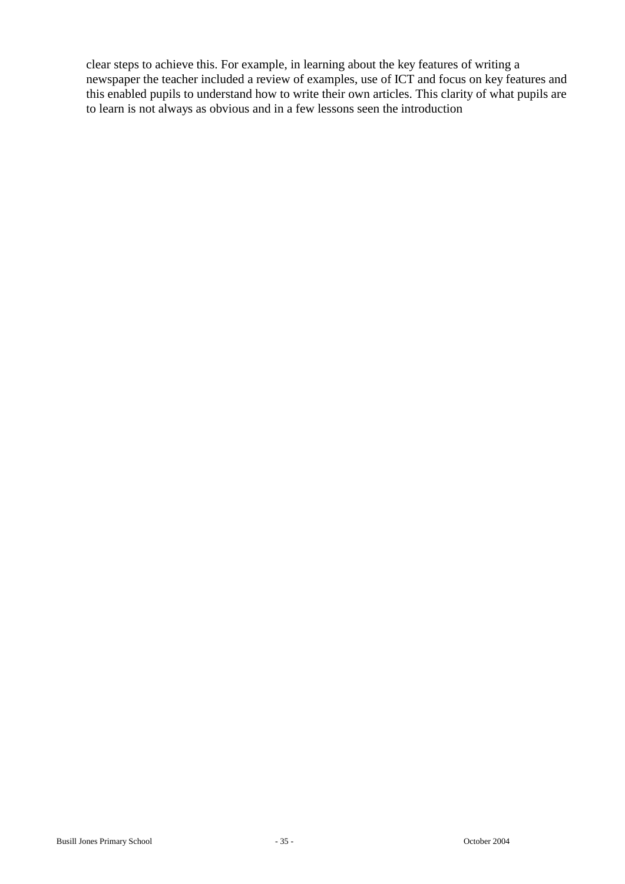clear steps to achieve this. For example, in learning about the key features of writing a newspaper the teacher included a review of examples, use of ICT and focus on key features and this enabled pupils to understand how to write their own articles. This clarity of what pupils are to learn is not always as obvious and in a few lessons seen the introduction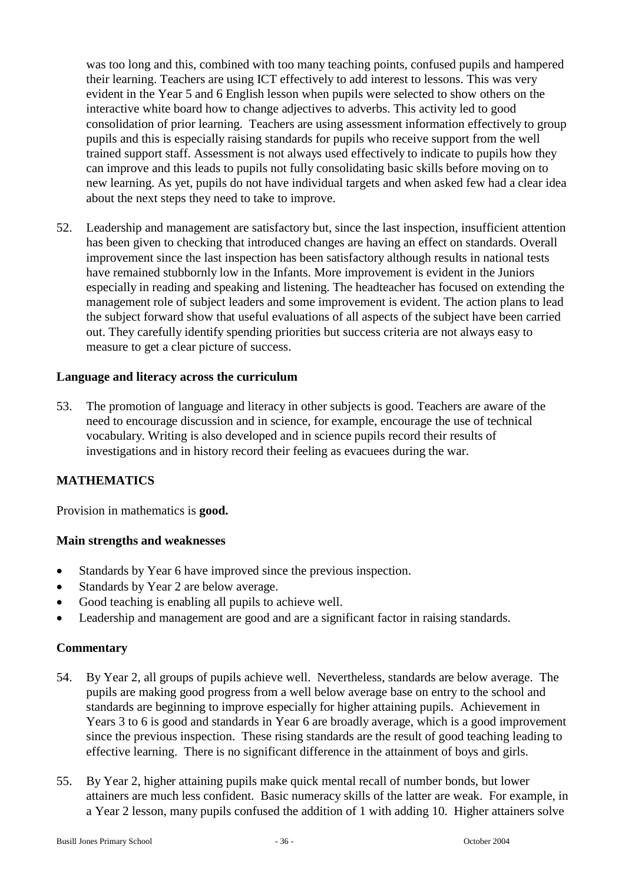was too long and this, combined with too many teaching points, confused pupils and hampered their learning. Teachers are using ICT effectively to add interest to lessons. This was very evident in the Year 5 and 6 English lesson when pupils were selected to show others on the interactive white board how to change adjectives to adverbs. This activity led to good consolidation of prior learning. Teachers are using assessment information effectively to group pupils and this is especially raising standards for pupils who receive support from the well trained support staff. Assessment is not always used effectively to indicate to pupils how they can improve and this leads to pupils not fully consolidating basic skills before moving on to new learning. As yet, pupils do not have individual targets and when asked few had a clear idea about the next steps they need to take to improve.

52. Leadership and management are satisfactory but, since the last inspection, insufficient attention has been given to checking that introduced changes are having an effect on standards. Overall improvement since the last inspection has been satisfactory although results in national tests have remained stubbornly low in the Infants. More improvement is evident in the Juniors especially in reading and speaking and listening. The headteacher has focused on extending the management role of subject leaders and some improvement is evident. The action plans to lead the subject forward show that useful evaluations of all aspects of the subject have been carried out. They carefully identify spending priorities but success criteria are not always easy to measure to get a clear picture of success.

#### **Language and literacy across the curriculum**

53. The promotion of language and literacy in other subjects is good. Teachers are aware of the need to encourage discussion and in science, for example, encourage the use of technical vocabulary. Writing is also developed and in science pupils record their results of investigations and in history record their feeling as evacuees during the war.

## **MATHEMATICS**

Provision in mathematics is **good.**

#### **Main strengths and weaknesses**

- Standards by Year 6 have improved since the previous inspection.
- Standards by Year 2 are below average.
- Good teaching is enabling all pupils to achieve well.
- Leadership and management are good and are a significant factor in raising standards.

#### **Commentary**

- 54. By Year 2, all groups of pupils achieve well. Nevertheless, standards are below average. The pupils are making good progress from a well below average base on entry to the school and standards are beginning to improve especially for higher attaining pupils. Achievement in Years 3 to 6 is good and standards in Year 6 are broadly average, which is a good improvement since the previous inspection. These rising standards are the result of good teaching leading to effective learning. There is no significant difference in the attainment of boys and girls.
- 55. By Year 2, higher attaining pupils make quick mental recall of number bonds, but lower attainers are much less confident. Basic numeracy skills of the latter are weak. For example, in a Year 2 lesson, many pupils confused the addition of 1 with adding 10. Higher attainers solve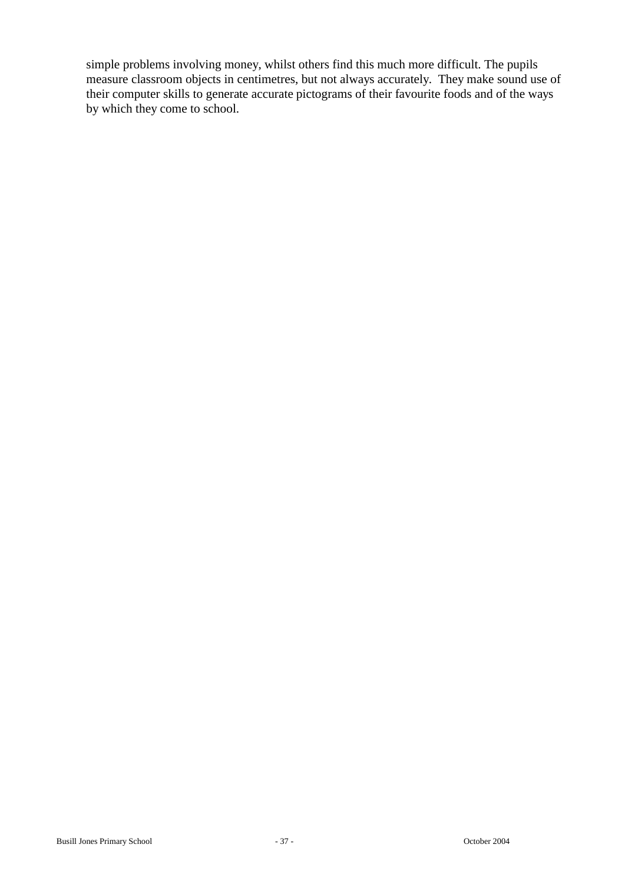simple problems involving money, whilst others find this much more difficult. The pupils measure classroom objects in centimetres, but not always accurately. They make sound use of their computer skills to generate accurate pictograms of their favourite foods and of the ways by which they come to school.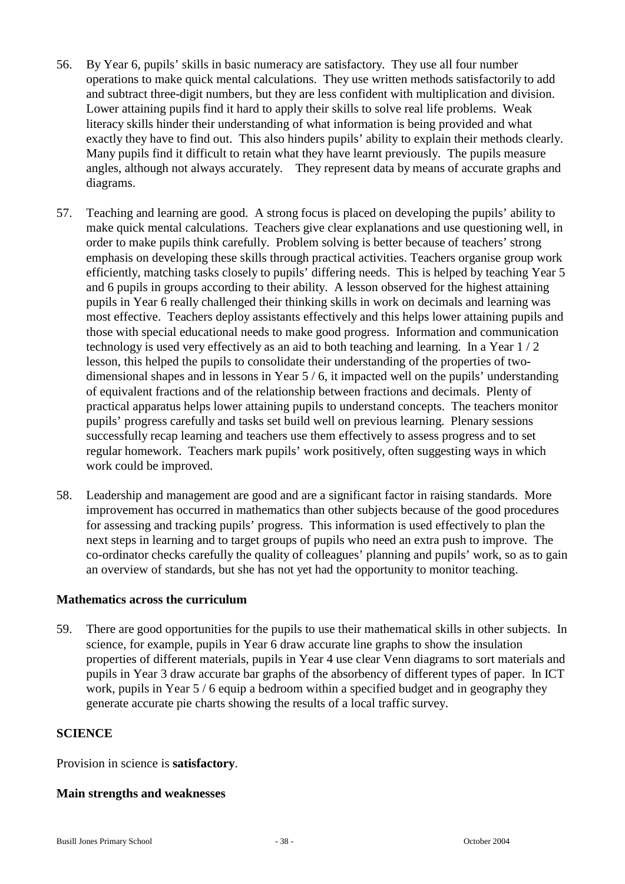- 56. By Year 6, pupils' skills in basic numeracy are satisfactory. They use all four number operations to make quick mental calculations. They use written methods satisfactorily to add and subtract three-digit numbers, but they are less confident with multiplication and division. Lower attaining pupils find it hard to apply their skills to solve real life problems. Weak literacy skills hinder their understanding of what information is being provided and what exactly they have to find out. This also hinders pupils' ability to explain their methods clearly. Many pupils find it difficult to retain what they have learnt previously. The pupils measure angles, although not always accurately. They represent data by means of accurate graphs and diagrams.
- 57. Teaching and learning are good. A strong focus is placed on developing the pupils' ability to make quick mental calculations. Teachers give clear explanations and use questioning well, in order to make pupils think carefully. Problem solving is better because of teachers' strong emphasis on developing these skills through practical activities. Teachers organise group work efficiently, matching tasks closely to pupils' differing needs. This is helped by teaching Year 5 and 6 pupils in groups according to their ability. A lesson observed for the highest attaining pupils in Year 6 really challenged their thinking skills in work on decimals and learning was most effective. Teachers deploy assistants effectively and this helps lower attaining pupils and those with special educational needs to make good progress. Information and communication technology is used very effectively as an aid to both teaching and learning. In a Year 1 / 2 lesson, this helped the pupils to consolidate their understanding of the properties of twodimensional shapes and in lessons in Year 5 / 6, it impacted well on the pupils' understanding of equivalent fractions and of the relationship between fractions and decimals. Plenty of practical apparatus helps lower attaining pupils to understand concepts. The teachers monitor pupils' progress carefully and tasks set build well on previous learning. Plenary sessions successfully recap learning and teachers use them effectively to assess progress and to set regular homework. Teachers mark pupils' work positively, often suggesting ways in which work could be improved.
- 58. Leadership and management are good and are a significant factor in raising standards. More improvement has occurred in mathematics than other subjects because of the good procedures for assessing and tracking pupils' progress. This information is used effectively to plan the next steps in learning and to target groups of pupils who need an extra push to improve. The co-ordinator checks carefully the quality of colleagues' planning and pupils' work, so as to gain an overview of standards, but she has not yet had the opportunity to monitor teaching.

#### **Mathematics across the curriculum**

59. There are good opportunities for the pupils to use their mathematical skills in other subjects. In science, for example, pupils in Year 6 draw accurate line graphs to show the insulation properties of different materials, pupils in Year 4 use clear Venn diagrams to sort materials and pupils in Year 3 draw accurate bar graphs of the absorbency of different types of paper. In ICT work, pupils in Year 5 / 6 equip a bedroom within a specified budget and in geography they generate accurate pie charts showing the results of a local traffic survey.

#### **SCIENCE**

Provision in science is **satisfactory**.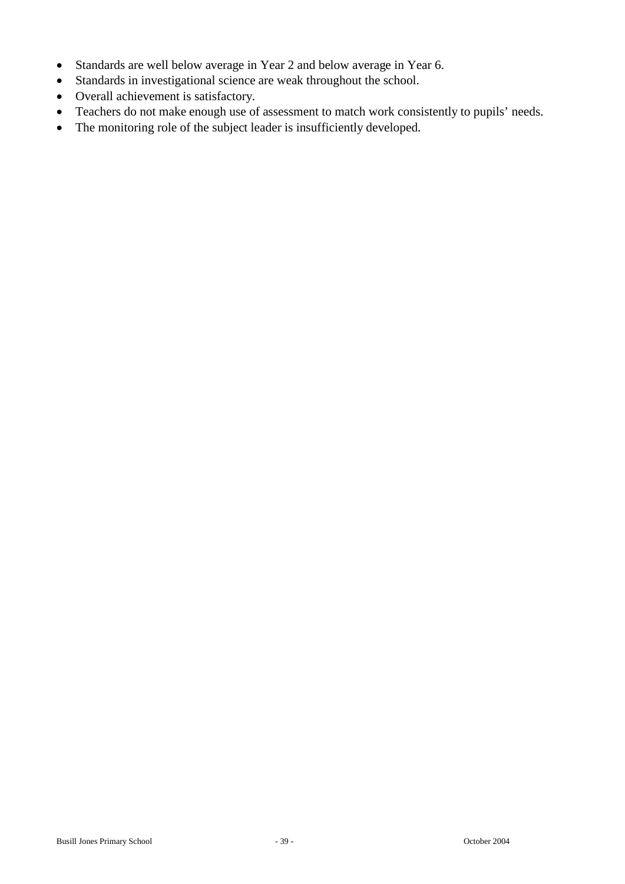- Standards are well below average in Year 2 and below average in Year 6.
- Standards in investigational science are weak throughout the school.
- Overall achievement is satisfactory.
- Teachers do not make enough use of assessment to match work consistently to pupils' needs.
- The monitoring role of the subject leader is insufficiently developed.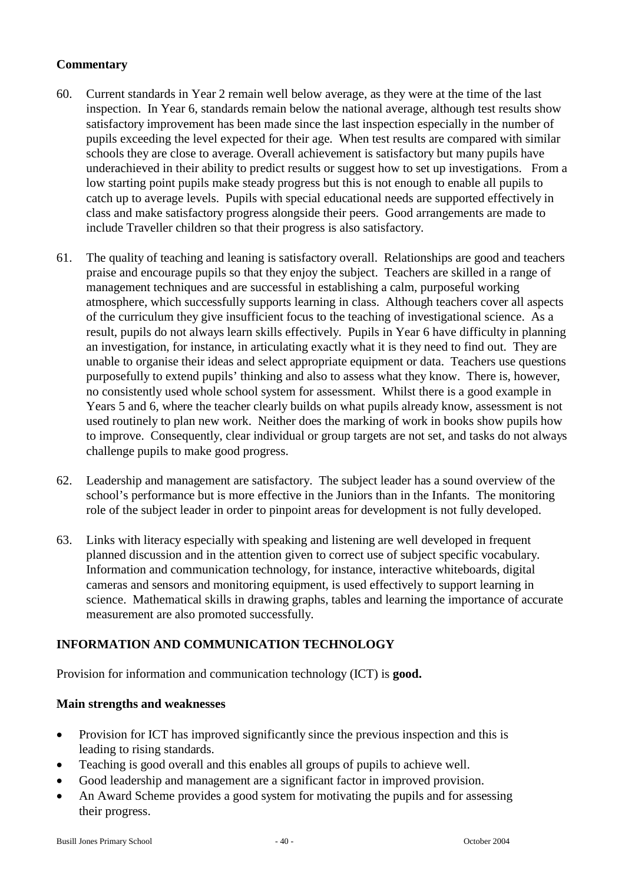- 60. Current standards in Year 2 remain well below average, as they were at the time of the last inspection. In Year 6, standards remain below the national average, although test results show satisfactory improvement has been made since the last inspection especially in the number of pupils exceeding the level expected for their age. When test results are compared with similar schools they are close to average. Overall achievement is satisfactory but many pupils have underachieved in their ability to predict results or suggest how to set up investigations. From a low starting point pupils make steady progress but this is not enough to enable all pupils to catch up to average levels. Pupils with special educational needs are supported effectively in class and make satisfactory progress alongside their peers. Good arrangements are made to include Traveller children so that their progress is also satisfactory.
- 61. The quality of teaching and leaning is satisfactory overall. Relationships are good and teachers praise and encourage pupils so that they enjoy the subject. Teachers are skilled in a range of management techniques and are successful in establishing a calm, purposeful working atmosphere, which successfully supports learning in class. Although teachers cover all aspects of the curriculum they give insufficient focus to the teaching of investigational science. As a result, pupils do not always learn skills effectively. Pupils in Year 6 have difficulty in planning an investigation, for instance, in articulating exactly what it is they need to find out. They are unable to organise their ideas and select appropriate equipment or data. Teachers use questions purposefully to extend pupils' thinking and also to assess what they know. There is, however, no consistently used whole school system for assessment. Whilst there is a good example in Years 5 and 6, where the teacher clearly builds on what pupils already know, assessment is not used routinely to plan new work. Neither does the marking of work in books show pupils how to improve. Consequently, clear individual or group targets are not set, and tasks do not always challenge pupils to make good progress.
- 62. Leadership and management are satisfactory. The subject leader has a sound overview of the school's performance but is more effective in the Juniors than in the Infants. The monitoring role of the subject leader in order to pinpoint areas for development is not fully developed.
- 63. Links with literacy especially with speaking and listening are well developed in frequent planned discussion and in the attention given to correct use of subject specific vocabulary. Information and communication technology, for instance, interactive whiteboards, digital cameras and sensors and monitoring equipment, is used effectively to support learning in science. Mathematical skills in drawing graphs, tables and learning the importance of accurate measurement are also promoted successfully.

## **INFORMATION AND COMMUNICATION TECHNOLOGY**

Provision for information and communication technology (ICT) is **good.**

- Provision for ICT has improved significantly since the previous inspection and this is leading to rising standards.
- Teaching is good overall and this enables all groups of pupils to achieve well.
- Good leadership and management are a significant factor in improved provision.
- An Award Scheme provides a good system for motivating the pupils and for assessing their progress.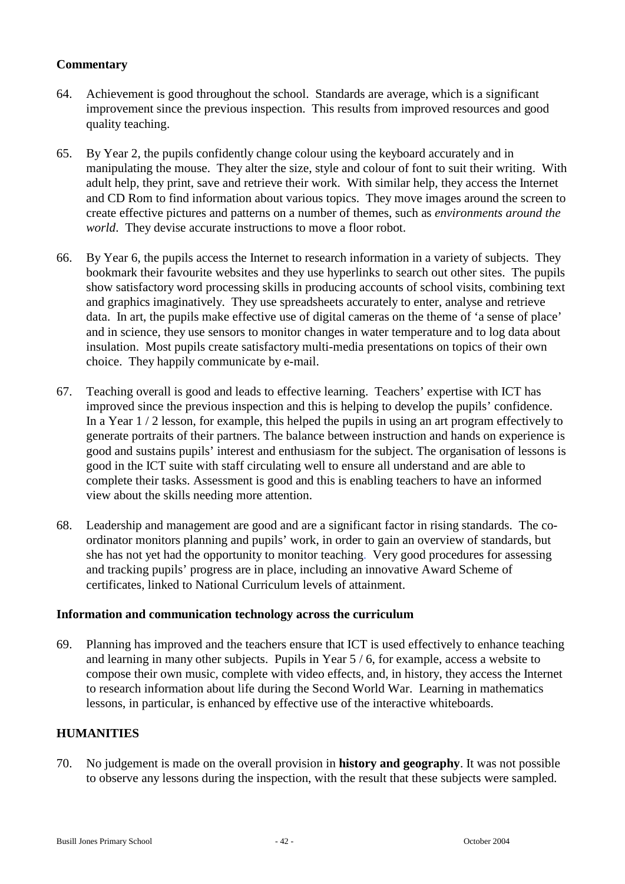- 64. Achievement is good throughout the school. Standards are average, which is a significant improvement since the previous inspection. This results from improved resources and good quality teaching.
- 65. By Year 2, the pupils confidently change colour using the keyboard accurately and in manipulating the mouse. They alter the size, style and colour of font to suit their writing. With adult help, they print, save and retrieve their work. With similar help, they access the Internet and CD Rom to find information about various topics. They move images around the screen to create effective pictures and patterns on a number of themes, such as *environments around the world*. They devise accurate instructions to move a floor robot.
- 66. By Year 6, the pupils access the Internet to research information in a variety of subjects. They bookmark their favourite websites and they use hyperlinks to search out other sites. The pupils show satisfactory word processing skills in producing accounts of school visits, combining text and graphics imaginatively. They use spreadsheets accurately to enter, analyse and retrieve data. In art, the pupils make effective use of digital cameras on the theme of 'a sense of place' and in science, they use sensors to monitor changes in water temperature and to log data about insulation. Most pupils create satisfactory multi-media presentations on topics of their own choice. They happily communicate by e-mail.
- 67. Teaching overall is good and leads to effective learning. Teachers' expertise with ICT has improved since the previous inspection and this is helping to develop the pupils' confidence. In a Year 1 / 2 lesson, for example, this helped the pupils in using an art program effectively to generate portraits of their partners. The balance between instruction and hands on experience is good and sustains pupils' interest and enthusiasm for the subject. The organisation of lessons is good in the ICT suite with staff circulating well to ensure all understand and are able to complete their tasks. Assessment is good and this is enabling teachers to have an informed view about the skills needing more attention.
- 68. Leadership and management are good and are a significant factor in rising standards. The coordinator monitors planning and pupils' work, in order to gain an overview of standards, but she has not yet had the opportunity to monitor teaching. Very good procedures for assessing and tracking pupils' progress are in place, including an innovative Award Scheme of certificates, linked to National Curriculum levels of attainment.

#### **Information and communication technology across the curriculum**

69. Planning has improved and the teachers ensure that ICT is used effectively to enhance teaching and learning in many other subjects. Pupils in Year 5 / 6, for example, access a website to compose their own music, complete with video effects, and, in history, they access the Internet to research information about life during the Second World War. Learning in mathematics lessons, in particular, is enhanced by effective use of the interactive whiteboards.

## **HUMANITIES**

70. No judgement is made on the overall provision in **history and geography**. It was not possible to observe any lessons during the inspection, with the result that these subjects were sampled.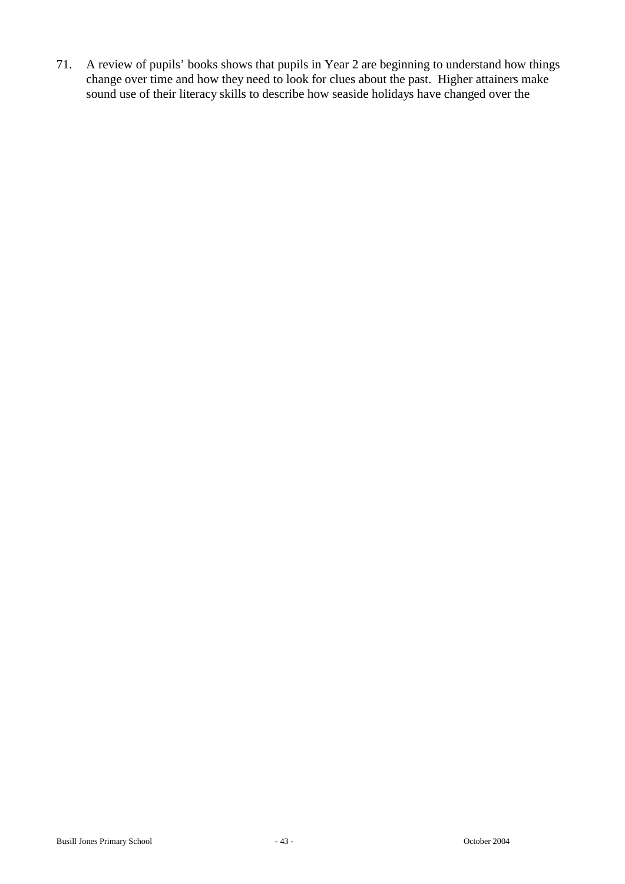71. A review of pupils' books shows that pupils in Year 2 are beginning to understand how things change over time and how they need to look for clues about the past. Higher attainers make sound use of their literacy skills to describe how seaside holidays have changed over the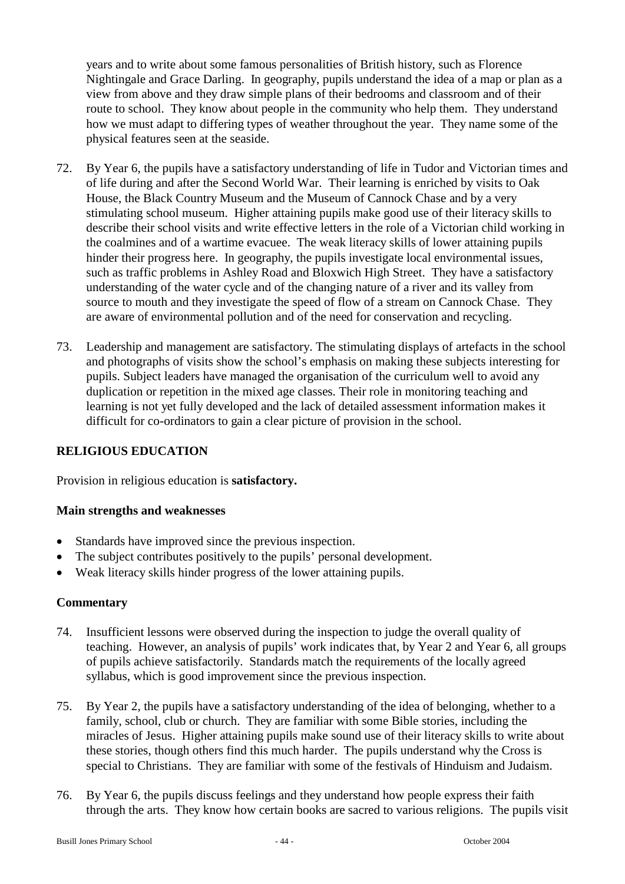years and to write about some famous personalities of British history, such as Florence Nightingale and Grace Darling. In geography, pupils understand the idea of a map or plan as a view from above and they draw simple plans of their bedrooms and classroom and of their route to school. They know about people in the community who help them. They understand how we must adapt to differing types of weather throughout the year. They name some of the physical features seen at the seaside.

- 72. By Year 6, the pupils have a satisfactory understanding of life in Tudor and Victorian times and of life during and after the Second World War. Their learning is enriched by visits to Oak House, the Black Country Museum and the Museum of Cannock Chase and by a very stimulating school museum. Higher attaining pupils make good use of their literacy skills to describe their school visits and write effective letters in the role of a Victorian child working in the coalmines and of a wartime evacuee. The weak literacy skills of lower attaining pupils hinder their progress here. In geography, the pupils investigate local environmental issues, such as traffic problems in Ashley Road and Bloxwich High Street. They have a satisfactory understanding of the water cycle and of the changing nature of a river and its valley from source to mouth and they investigate the speed of flow of a stream on Cannock Chase. They are aware of environmental pollution and of the need for conservation and recycling.
- 73. Leadership and management are satisfactory. The stimulating displays of artefacts in the school and photographs of visits show the school's emphasis on making these subjects interesting for pupils. Subject leaders have managed the organisation of the curriculum well to avoid any duplication or repetition in the mixed age classes. Their role in monitoring teaching and learning is not yet fully developed and the lack of detailed assessment information makes it difficult for co-ordinators to gain a clear picture of provision in the school.

## **RELIGIOUS EDUCATION**

Provision in religious education is **satisfactory.**

#### **Main strengths and weaknesses**

- Standards have improved since the previous inspection.
- The subject contributes positively to the pupils' personal development.
- Weak literacy skills hinder progress of the lower attaining pupils.

## **Commentary**

- 74. Insufficient lessons were observed during the inspection to judge the overall quality of teaching. However, an analysis of pupils' work indicates that, by Year 2 and Year 6, all groups of pupils achieve satisfactorily. Standards match the requirements of the locally agreed syllabus, which is good improvement since the previous inspection.
- 75. By Year 2, the pupils have a satisfactory understanding of the idea of belonging, whether to a family, school, club or church. They are familiar with some Bible stories, including the miracles of Jesus. Higher attaining pupils make sound use of their literacy skills to write about these stories, though others find this much harder. The pupils understand why the Cross is special to Christians. They are familiar with some of the festivals of Hinduism and Judaism.
- 76. By Year 6, the pupils discuss feelings and they understand how people express their faith through the arts. They know how certain books are sacred to various religions. The pupils visit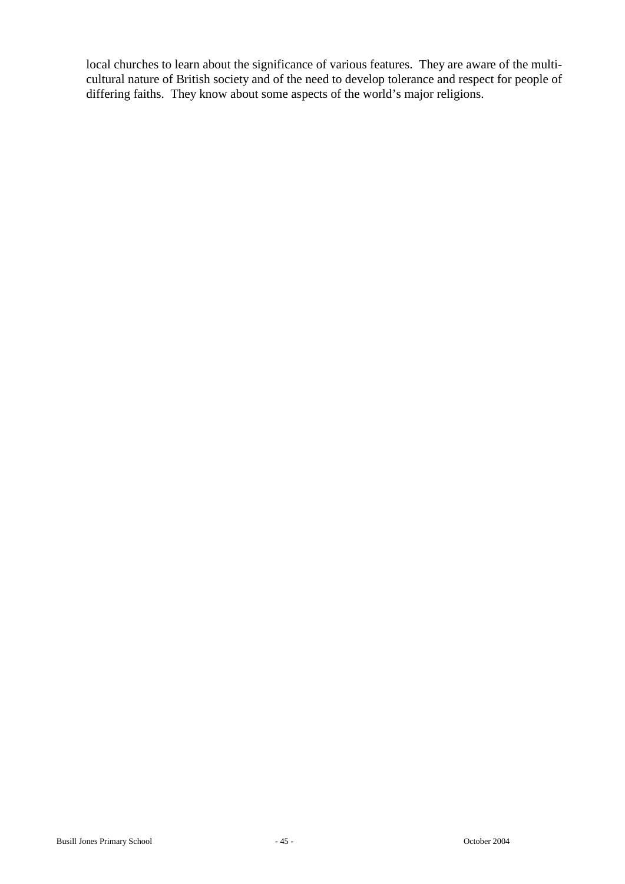local churches to learn about the significance of various features. They are aware of the multicultural nature of British society and of the need to develop tolerance and respect for people of differing faiths. They know about some aspects of the world's major religions.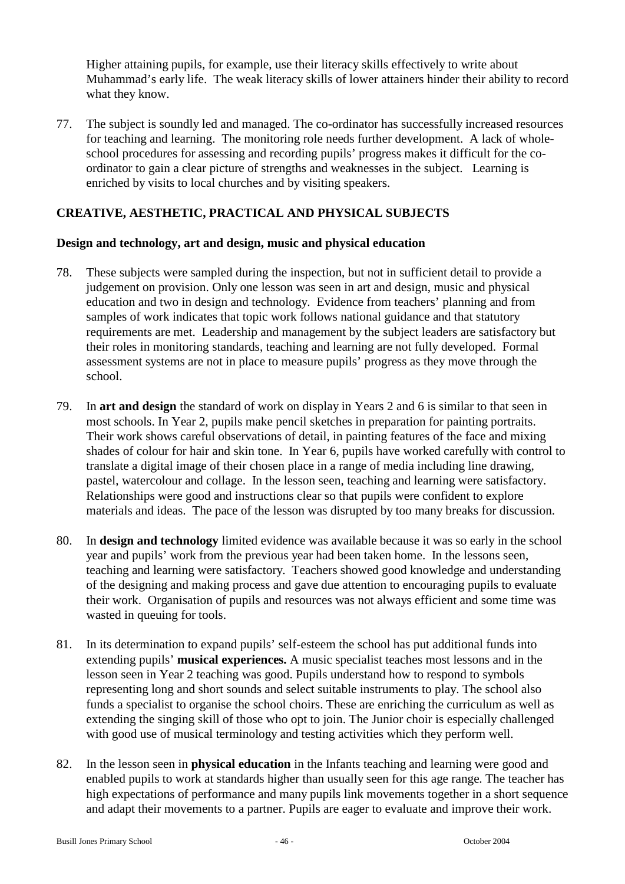Higher attaining pupils, for example, use their literacy skills effectively to write about Muhammad's early life. The weak literacy skills of lower attainers hinder their ability to record what they know.

77. The subject is soundly led and managed. The co-ordinator has successfully increased resources for teaching and learning. The monitoring role needs further development. A lack of wholeschool procedures for assessing and recording pupils' progress makes it difficult for the coordinator to gain a clear picture of strengths and weaknesses in the subject. Learning is enriched by visits to local churches and by visiting speakers.

## **CREATIVE, AESTHETIC, PRACTICAL AND PHYSICAL SUBJECTS**

#### **Design and technology, art and design, music and physical education**

- 78. These subjects were sampled during the inspection, but not in sufficient detail to provide a judgement on provision. Only one lesson was seen in art and design, music and physical education and two in design and technology. Evidence from teachers' planning and from samples of work indicates that topic work follows national guidance and that statutory requirements are met. Leadership and management by the subject leaders are satisfactory but their roles in monitoring standards, teaching and learning are not fully developed. Formal assessment systems are not in place to measure pupils' progress as they move through the school.
- 79. In **art and design** the standard of work on display in Years 2 and 6 is similar to that seen in most schools. In Year 2, pupils make pencil sketches in preparation for painting portraits. Their work shows careful observations of detail, in painting features of the face and mixing shades of colour for hair and skin tone. In Year 6, pupils have worked carefully with control to translate a digital image of their chosen place in a range of media including line drawing, pastel, watercolour and collage. In the lesson seen, teaching and learning were satisfactory. Relationships were good and instructions clear so that pupils were confident to explore materials and ideas. The pace of the lesson was disrupted by too many breaks for discussion.
- 80. In **design and technology** limited evidence was available because it was so early in the school year and pupils' work from the previous year had been taken home. In the lessons seen, teaching and learning were satisfactory. Teachers showed good knowledge and understanding of the designing and making process and gave due attention to encouraging pupils to evaluate their work. Organisation of pupils and resources was not always efficient and some time was wasted in queuing for tools.
- 81. In its determination to expand pupils' self-esteem the school has put additional funds into extending pupils' **musical experiences.** A music specialist teaches most lessons and in the lesson seen in Year 2 teaching was good. Pupils understand how to respond to symbols representing long and short sounds and select suitable instruments to play. The school also funds a specialist to organise the school choirs. These are enriching the curriculum as well as extending the singing skill of those who opt to join. The Junior choir is especially challenged with good use of musical terminology and testing activities which they perform well.
- 82. In the lesson seen in **physical education** in the Infants teaching and learning were good and enabled pupils to work at standards higher than usually seen for this age range. The teacher has high expectations of performance and many pupils link movements together in a short sequence and adapt their movements to a partner. Pupils are eager to evaluate and improve their work.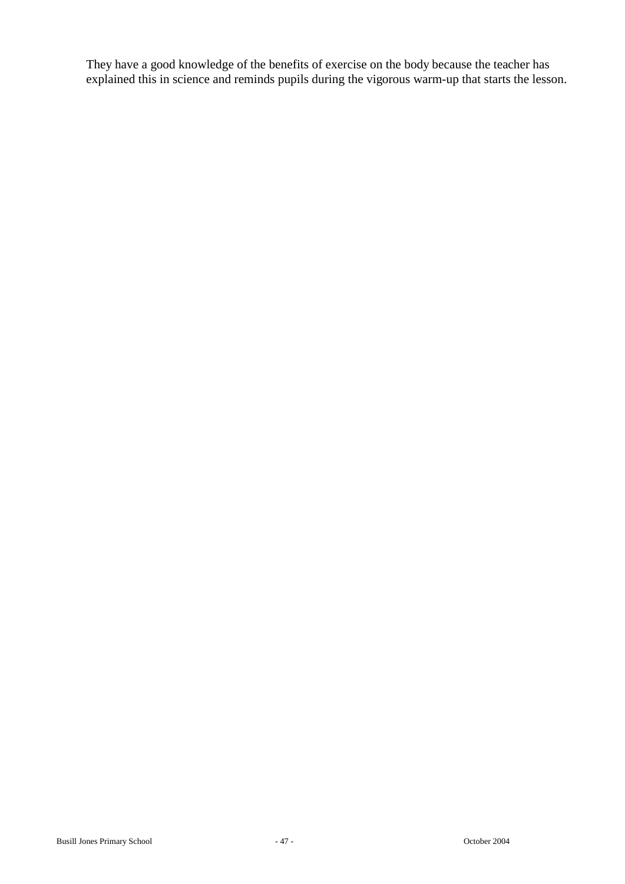They have a good knowledge of the benefits of exercise on the body because the teacher has explained this in science and reminds pupils during the vigorous warm-up that starts the lesson.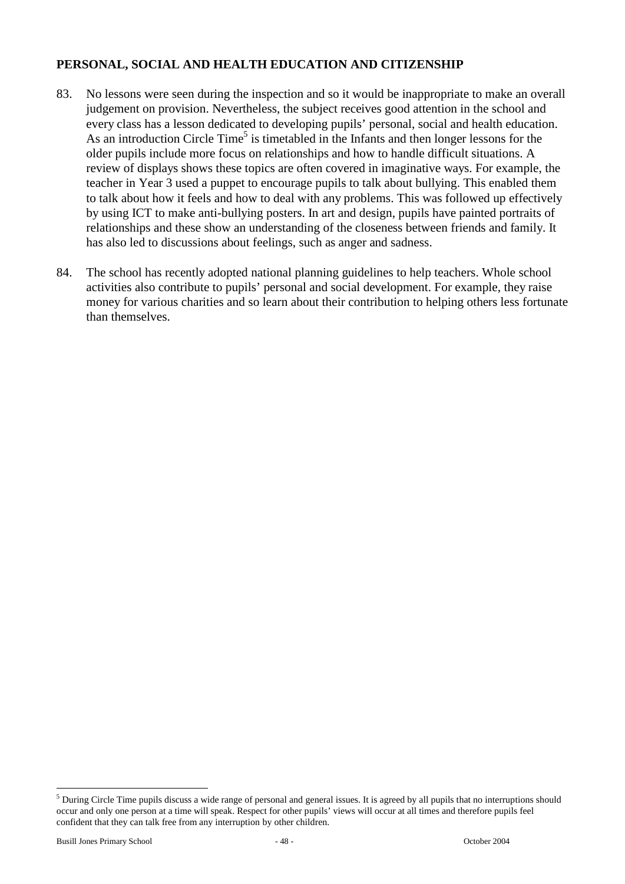## **PERSONAL, SOCIAL AND HEALTH EDUCATION AND CITIZENSHIP**

- 83. No lessons were seen during the inspection and so it would be inappropriate to make an overall judgement on provision. Nevertheless, the subject receives good attention in the school and every class has a lesson dedicated to developing pupils' personal, social and health education. As an introduction Circle Time<sup>5</sup> is timetabled in the Infants and then longer lessons for the older pupils include more focus on relationships and how to handle difficult situations. A review of displays shows these topics are often covered in imaginative ways. For example, the teacher in Year 3 used a puppet to encourage pupils to talk about bullying. This enabled them to talk about how it feels and how to deal with any problems. This was followed up effectively by using ICT to make anti-bullying posters. In art and design, pupils have painted portraits of relationships and these show an understanding of the closeness between friends and family. It has also led to discussions about feelings, such as anger and sadness.
- 84. The school has recently adopted national planning guidelines to help teachers. Whole school activities also contribute to pupils' personal and social development. For example, they raise money for various charities and so learn about their contribution to helping others less fortunate than themselves.

 $\overline{a}$ 

 $<sup>5</sup>$  During Circle Time pupils discuss a wide range of personal and general issues. It is agreed by all pupils that no interruptions should</sup> occur and only one person at a time will speak. Respect for other pupils' views will occur at all times and therefore pupils feel confident that they can talk free from any interruption by other children.